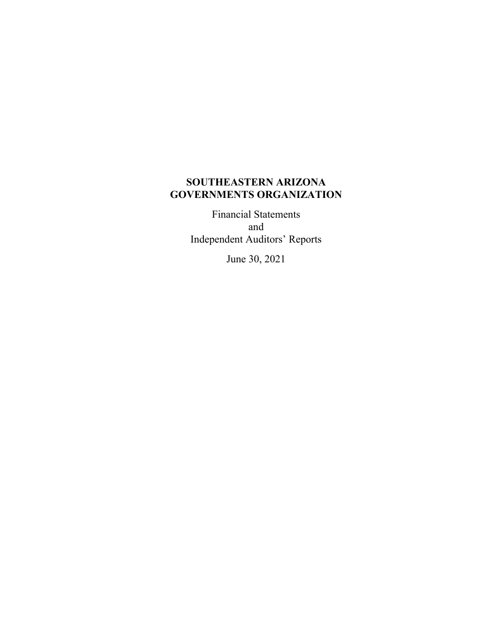# **SOUTHEASTERN ARIZONA GOVERNMENTS ORGANIZATION**

Financial Statements and Independent Auditors' Reports

June 30, 2021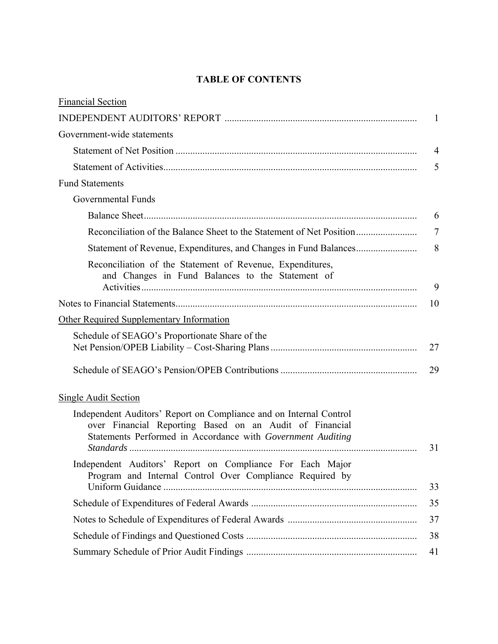# **TABLE OF CONTENTS**

| <b>Financial Section</b>                                                                                                                                                                     |                |
|----------------------------------------------------------------------------------------------------------------------------------------------------------------------------------------------|----------------|
|                                                                                                                                                                                              | $\mathbf{1}$   |
| Government-wide statements                                                                                                                                                                   |                |
|                                                                                                                                                                                              | $\overline{4}$ |
|                                                                                                                                                                                              | 5              |
| <b>Fund Statements</b>                                                                                                                                                                       |                |
| <b>Governmental Funds</b>                                                                                                                                                                    |                |
|                                                                                                                                                                                              | 6              |
| Reconciliation of the Balance Sheet to the Statement of Net Position                                                                                                                         | 7              |
|                                                                                                                                                                                              | 8              |
| Reconciliation of the Statement of Revenue, Expenditures,<br>and Changes in Fund Balances to the Statement of                                                                                |                |
|                                                                                                                                                                                              | 9              |
|                                                                                                                                                                                              | 10             |
| Other Required Supplementary Information                                                                                                                                                     |                |
| Schedule of SEAGO's Proportionate Share of the                                                                                                                                               | 27             |
|                                                                                                                                                                                              | 29             |
| Single Audit Section                                                                                                                                                                         |                |
| Independent Auditors' Report on Compliance and on Internal Control<br>over Financial Reporting Based on an Audit of Financial<br>Statements Performed in Accordance with Government Auditing | 31             |
| Independent Auditors' Report on Compliance For Each Major<br>Program and Internal Control Over Compliance Required by                                                                        | 33             |
|                                                                                                                                                                                              | 35             |
|                                                                                                                                                                                              | 37             |
|                                                                                                                                                                                              | 38             |
|                                                                                                                                                                                              | 41             |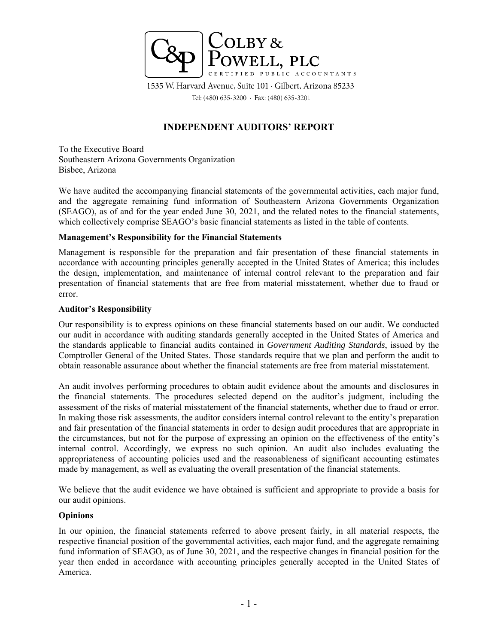

1535 W. Harvard Avenue, Suite 101 · Gilbert, Arizona 85233 Tel: (480) 635-3200 · Fax: (480) 635-3201

# **INDEPENDENT AUDITORS' REPORT**

To the Executive Board Southeastern Arizona Governments Organization Bisbee, Arizona

We have audited the accompanying financial statements of the governmental activities, each major fund, and the aggregate remaining fund information of Southeastern Arizona Governments Organization (SEAGO), as of and for the year ended June 30, 2021, and the related notes to the financial statements, which collectively comprise SEAGO's basic financial statements as listed in the table of contents.

## **Management's Responsibility for the Financial Statements**

Management is responsible for the preparation and fair presentation of these financial statements in accordance with accounting principles generally accepted in the United States of America; this includes the design, implementation, and maintenance of internal control relevant to the preparation and fair presentation of financial statements that are free from material misstatement, whether due to fraud or error.

## **Auditor's Responsibility**

Our responsibility is to express opinions on these financial statements based on our audit. We conducted our audit in accordance with auditing standards generally accepted in the United States of America and the standards applicable to financial audits contained in *Government Auditing Standards*, issued by the Comptroller General of the United States. Those standards require that we plan and perform the audit to obtain reasonable assurance about whether the financial statements are free from material misstatement.

An audit involves performing procedures to obtain audit evidence about the amounts and disclosures in the financial statements. The procedures selected depend on the auditor's judgment, including the assessment of the risks of material misstatement of the financial statements, whether due to fraud or error. In making those risk assessments, the auditor considers internal control relevant to the entity's preparation and fair presentation of the financial statements in order to design audit procedures that are appropriate in the circumstances, but not for the purpose of expressing an opinion on the effectiveness of the entity's internal control. Accordingly, we express no such opinion. An audit also includes evaluating the appropriateness of accounting policies used and the reasonableness of significant accounting estimates made by management, as well as evaluating the overall presentation of the financial statements.

We believe that the audit evidence we have obtained is sufficient and appropriate to provide a basis for our audit opinions.

## **Opinions**

In our opinion, the financial statements referred to above present fairly, in all material respects, the respective financial position of the governmental activities, each major fund, and the aggregate remaining fund information of SEAGO, as of June 30, 2021, and the respective changes in financial position for the year then ended in accordance with accounting principles generally accepted in the United States of America.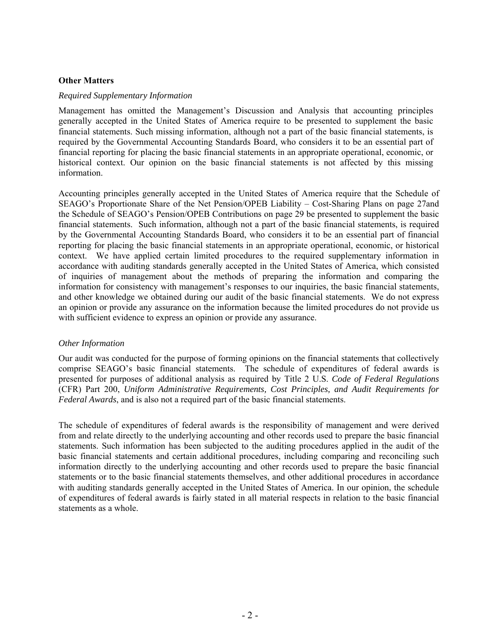## **Other Matters**

#### *Required Supplementary Information*

Management has omitted the Management's Discussion and Analysis that accounting principles generally accepted in the United States of America require to be presented to supplement the basic financial statements. Such missing information, although not a part of the basic financial statements, is required by the Governmental Accounting Standards Board, who considers it to be an essential part of financial reporting for placing the basic financial statements in an appropriate operational, economic, or historical context. Our opinion on the basic financial statements is not affected by this missing information.

Accounting principles generally accepted in the United States of America require that the Schedule of SEAGO's Proportionate Share of the Net Pension/OPEB Liability – Cost-Sharing Plans on page 27and the Schedule of SEAGO's Pension/OPEB Contributions on page 29 be presented to supplement the basic financial statements. Such information, although not a part of the basic financial statements, is required by the Governmental Accounting Standards Board, who considers it to be an essential part of financial reporting for placing the basic financial statements in an appropriate operational, economic, or historical context. We have applied certain limited procedures to the required supplementary information in accordance with auditing standards generally accepted in the United States of America, which consisted of inquiries of management about the methods of preparing the information and comparing the information for consistency with management's responses to our inquiries, the basic financial statements, and other knowledge we obtained during our audit of the basic financial statements. We do not express an opinion or provide any assurance on the information because the limited procedures do not provide us with sufficient evidence to express an opinion or provide any assurance.

#### *Other Information*

Our audit was conducted for the purpose of forming opinions on the financial statements that collectively comprise SEAGO's basic financial statements. The schedule of expenditures of federal awards is presented for purposes of additional analysis as required by Title 2 U.S. *Code of Federal Regulations*  (CFR) Part 200, *Uniform Administrative Requirements, Cost Principles, and Audit Requirements for Federal Awards*, and is also not a required part of the basic financial statements.

The schedule of expenditures of federal awards is the responsibility of management and were derived from and relate directly to the underlying accounting and other records used to prepare the basic financial statements. Such information has been subjected to the auditing procedures applied in the audit of the basic financial statements and certain additional procedures, including comparing and reconciling such information directly to the underlying accounting and other records used to prepare the basic financial statements or to the basic financial statements themselves, and other additional procedures in accordance with auditing standards generally accepted in the United States of America. In our opinion, the schedule of expenditures of federal awards is fairly stated in all material respects in relation to the basic financial statements as a whole.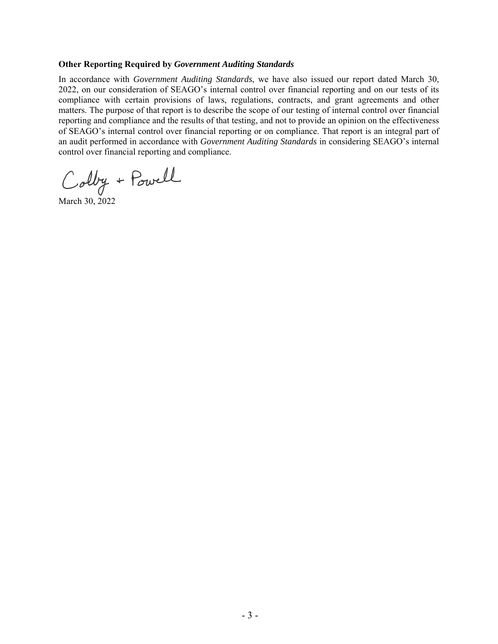#### **Other Reporting Required by** *Government Auditing Standards*

In accordance with *Government Auditing Standards*, we have also issued our report dated March 30, 2022, on our consideration of SEAGO's internal control over financial reporting and on our tests of its compliance with certain provisions of laws, regulations, contracts, and grant agreements and other matters. The purpose of that report is to describe the scope of our testing of internal control over financial reporting and compliance and the results of that testing, and not to provide an opinion on the effectiveness of SEAGO's internal control over financial reporting or on compliance. That report is an integral part of an audit performed in accordance with *Government Auditing Standards* in considering SEAGO's internal control over financial reporting and compliance.

Colby + Powell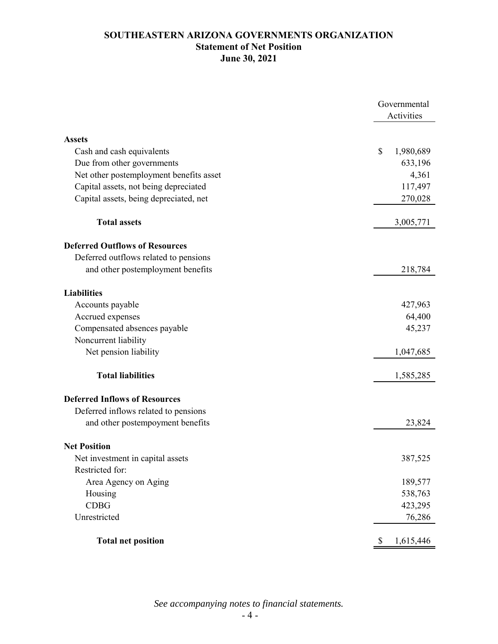# **SOUTHEASTERN ARIZONA GOVERNMENTS ORGANIZATION Statement of Net Position June 30, 2021**

|                                         | Governmental<br>Activities |
|-----------------------------------------|----------------------------|
| <b>Assets</b>                           |                            |
| Cash and cash equivalents               | \$<br>1,980,689            |
| Due from other governments              | 633,196                    |
| Net other postemployment benefits asset | 4,361                      |
| Capital assets, not being depreciated   | 117,497                    |
| Capital assets, being depreciated, net  | 270,028                    |
| <b>Total assets</b>                     | 3,005,771                  |
| <b>Deferred Outflows of Resources</b>   |                            |
| Deferred outflows related to pensions   |                            |
| and other postemployment benefits       | 218,784                    |
| <b>Liabilities</b>                      |                            |
| Accounts payable                        | 427,963                    |
| Accrued expenses                        | 64,400                     |
| Compensated absences payable            | 45,237                     |
| Noncurrent liability                    |                            |
| Net pension liability                   | 1,047,685                  |
| <b>Total liabilities</b>                | 1,585,285                  |
| <b>Deferred Inflows of Resources</b>    |                            |
| Deferred inflows related to pensions    |                            |
| and other postempoyment benefits        | 23,824                     |
| <b>Net Position</b>                     |                            |
| Net investment in capital assets        | 387,525                    |
| Restricted for:                         |                            |
| Area Agency on Aging                    | 189,577                    |
| Housing                                 | 538,763                    |
| <b>CDBG</b>                             | 423,295                    |
| Unrestricted                            | 76,286                     |
| <b>Total net position</b>               | 1,615,446<br>\$            |

*See accompanying notes to financial statements.*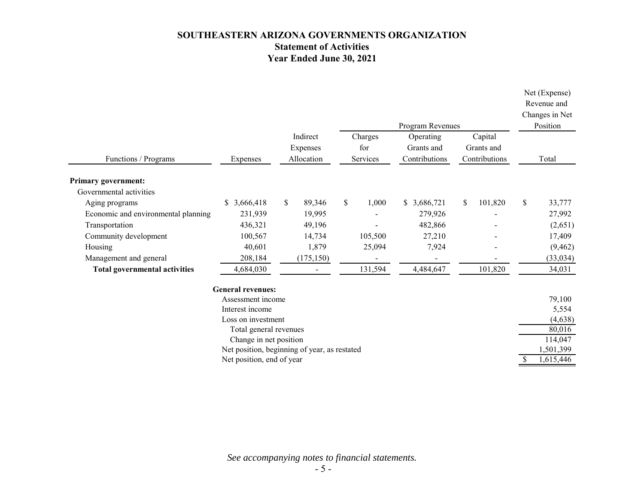# **SOUTHEASTERN ARIZONA GOVERNMENTS ORGANIZATION Statement of Activities Year Ended June 30, 2021**

|                                      |                                              |    |                |    |          |  | Program Revenues         |               |    | Net (Expense)<br>Revenue and<br>Changes in Net<br>Position |
|--------------------------------------|----------------------------------------------|----|----------------|----|----------|--|--------------------------|---------------|----|------------------------------------------------------------|
|                                      |                                              |    | Indirect       |    | Charges  |  | Operating                | Capital       |    |                                                            |
|                                      |                                              |    | Expenses       |    | for      |  | Grants and               | Grants and    |    |                                                            |
| Functions / Programs                 | Expenses                                     |    | Allocation     |    | Services |  | Contributions            | Contributions |    | Total                                                      |
| <b>Primary government:</b>           |                                              |    |                |    |          |  |                          |               |    |                                                            |
| Governmental activities              |                                              |    |                |    |          |  |                          |               |    |                                                            |
| Aging programs                       | \$3,666,418                                  | \$ | 89,346         | \$ | 1,000    |  | \$3,686,721              | \$<br>101,820 | \$ | 33,777                                                     |
| Economic and environmental planning  | 231,939                                      |    | 19,995         |    |          |  | 279,926                  |               |    | 27,992                                                     |
| Transportation                       | 436,321                                      |    | 49,196         |    |          |  | 482,866                  |               |    | (2,651)                                                    |
| Community development                | 100,567                                      |    | 14,734         |    | 105,500  |  | 27,210                   |               |    | 17,409                                                     |
| Housing                              | 40,601                                       |    | 1,879          |    | 25,094   |  | 7,924                    |               |    | (9, 462)                                                   |
| Management and general               | 208,184                                      |    | (175, 150)     |    |          |  | $\overline{\phantom{0}}$ |               |    | (33, 034)                                                  |
| <b>Total governmental activities</b> | 4,684,030                                    |    | $\blacksquare$ |    | 131,594  |  | 4,484,647                | 101,820       |    | 34,031                                                     |
|                                      | <b>General revenues:</b>                     |    |                |    |          |  |                          |               |    |                                                            |
|                                      | Assessment income                            |    |                |    |          |  |                          |               |    | 79,100                                                     |
|                                      | Interest income                              |    |                |    |          |  |                          |               |    | 5,554                                                      |
|                                      | Loss on investment                           |    |                |    |          |  |                          |               |    | (4, 638)                                                   |
|                                      | Total general revenues                       |    |                |    |          |  |                          |               |    | 80,016                                                     |
|                                      | Change in net position                       |    |                |    |          |  |                          |               |    | 114,047                                                    |
|                                      | Net position, beginning of year, as restated |    |                |    |          |  |                          |               |    | 1,501,399                                                  |
| \$<br>Net position, end of year      |                                              |    |                |    |          |  |                          | 1,615,446     |    |                                                            |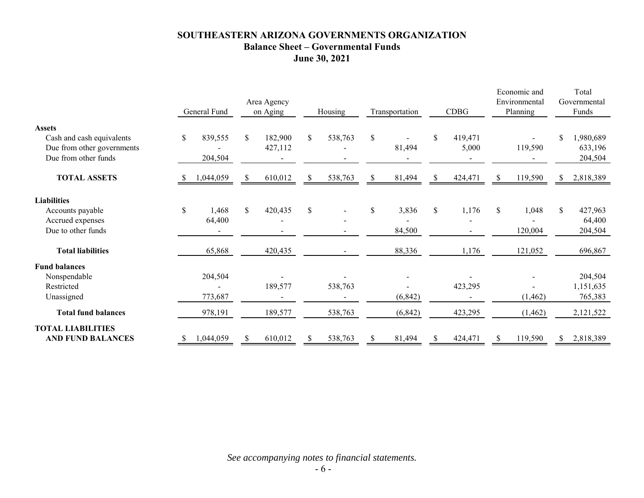# **SOUTHEASTERN ARIZONA GOVERNMENTS ORGANIZATION Balance Sheet – Governmental Funds June 30, 2021**

|                                                      | General Fund   |     | Area Agency<br>on Aging |               | Housing |              | Transportation | <b>CDBG</b> |    | Economic and<br>Environmental<br>Planning |    | Total<br>Governmental<br>Funds |
|------------------------------------------------------|----------------|-----|-------------------------|---------------|---------|--------------|----------------|-------------|----|-------------------------------------------|----|--------------------------------|
| <b>Assets</b>                                        |                |     |                         |               |         |              |                |             |    |                                           |    |                                |
| Cash and cash equivalents                            | \$<br>839,555  | \$  | 182,900                 | \$            | 538,763 | \$           |                | 419,471     |    |                                           |    | 1,980,689                      |
| Due from other governments                           |                |     | 427,112                 |               |         |              | 81,494         | 5,000       |    | 119,590                                   |    | 633,196                        |
| Due from other funds                                 | 204,504        |     |                         |               |         |              |                |             |    |                                           |    | 204,504                        |
| <b>TOTAL ASSETS</b>                                  | 1,044,059<br>S | S.  | 610,012                 | <sup>\$</sup> | 538,763 | S.           | 81,494         | 424,471     | S  | 119,590                                   | S. | 2,818,389                      |
| <b>Liabilities</b>                                   |                |     |                         |               |         |              |                |             |    |                                           |    |                                |
| Accounts payable                                     | \$<br>1,468    | \$  | 420,435                 | \$            |         | $\mathbb{S}$ | 3,836          | \$<br>1,176 | \$ | 1,048                                     | \$ | 427,963                        |
| Accrued expenses                                     | 64,400         |     |                         |               |         |              |                |             |    |                                           |    | 64,400                         |
| Due to other funds                                   |                |     |                         |               |         |              | 84,500         |             |    | 120,004                                   |    | 204,504                        |
| <b>Total liabilities</b>                             | 65,868         |     | 420,435                 |               |         |              | 88,336         | 1,176       |    | 121,052                                   |    | 696,867                        |
| <b>Fund balances</b>                                 |                |     |                         |               |         |              |                |             |    |                                           |    |                                |
| Nonspendable                                         | 204,504        |     |                         |               |         |              |                |             |    |                                           |    | 204,504                        |
| Restricted                                           |                |     | 189,577                 |               | 538,763 |              |                | 423,295     |    |                                           |    | 1,151,635                      |
| Unassigned                                           | 773,687        |     |                         |               |         |              | (6, 842)       |             |    | (1, 462)                                  |    | 765,383                        |
| <b>Total fund balances</b>                           | 978,191        |     | 189,577                 |               | 538,763 |              | (6, 842)       | 423,295     |    | (1, 462)                                  |    | 2,121,522                      |
| <b>TOTAL LIABILITIES</b><br><b>AND FUND BALANCES</b> | 1,044,059      | \$. | 610,012                 |               | 538,763 | \$.          | 81,494         | 424,471     |    | 119,590                                   |    | 2,818,389                      |
|                                                      |                |     |                         |               |         |              |                |             |    |                                           |    |                                |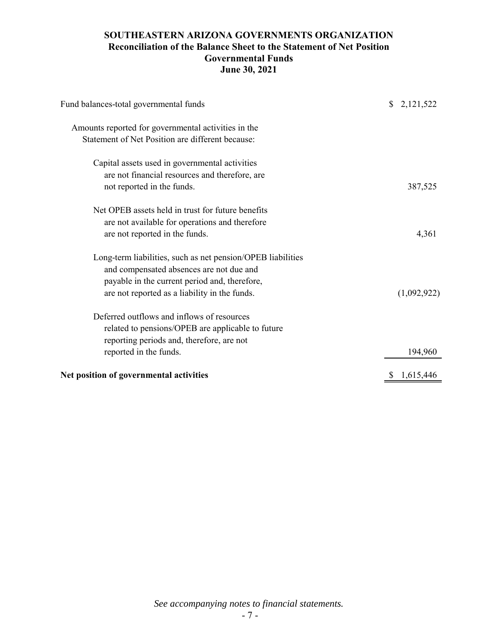# **SOUTHEASTERN ARIZONA GOVERNMENTS ORGANIZATION Reconciliation of the Balance Sheet to the Statement of Net Position Governmental Funds June 30, 2021**

| Fund balances-total governmental funds                      | \$2,121,522     |
|-------------------------------------------------------------|-----------------|
| Amounts reported for governmental activities in the         |                 |
| Statement of Net Position are different because:            |                 |
| Capital assets used in governmental activities              |                 |
| are not financial resources and therefore, are              |                 |
| not reported in the funds.                                  | 387,525         |
| Net OPEB assets held in trust for future benefits           |                 |
| are not available for operations and therefore              |                 |
| are not reported in the funds.                              | 4,361           |
| Long-term liabilities, such as net pension/OPEB liabilities |                 |
| and compensated absences are not due and                    |                 |
| payable in the current period and, therefore,               |                 |
| are not reported as a liability in the funds.               | (1,092,922)     |
| Deferred outflows and inflows of resources                  |                 |
| related to pensions/OPEB are applicable to future           |                 |
| reporting periods and, therefore, are not                   |                 |
| reported in the funds.                                      | 194,960         |
| Net position of governmental activities                     | 1,615,446<br>\$ |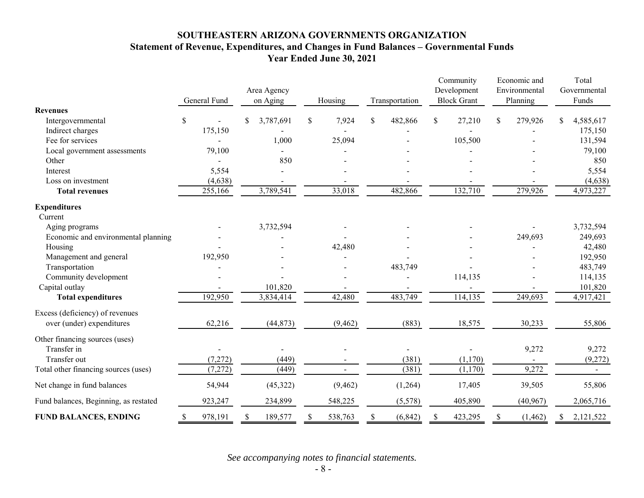# **SOUTHEASTERN ARIZONA GOVERNMENTS ORGANIZATION Statement of Revenue, Expenditures, and Changes in Fund Balances – Governmental Funds Year Ended June 30, 2021**

|                                       | General Fund             | Area Agency<br>on Aging | Housing     | Transportation | Community<br>Development<br><b>Block Grant</b> | Economic and<br>Environmental<br>Planning | Total<br>Governmental<br>Funds |
|---------------------------------------|--------------------------|-------------------------|-------------|----------------|------------------------------------------------|-------------------------------------------|--------------------------------|
| <b>Revenues</b><br>Intergovernmental  | \$                       | 3,787,691               | 7,924<br>\$ | \$<br>482,866  | \$<br>27,210                                   | \$<br>279,926                             | \$<br>4,585,617                |
| Indirect charges                      | 175,150                  |                         |             |                |                                                |                                           | 175,150                        |
| Fee for services                      |                          | 1,000                   | 25,094      |                | 105,500                                        |                                           | 131,594                        |
| Local government assessments          | 79,100                   |                         |             |                |                                                |                                           | 79,100                         |
| Other                                 |                          | 850                     |             |                |                                                |                                           | 850                            |
| Interest                              | 5,554                    |                         |             |                |                                                |                                           | 5,554                          |
| Loss on investment                    | (4, 638)                 |                         |             |                |                                                |                                           | (4,638)                        |
| <b>Total revenues</b>                 | 255,166                  | 3,789,541               | 33,018      | 482,866        | 132,710                                        | 279,926                                   | 4,973,227                      |
| <b>Expenditures</b>                   |                          |                         |             |                |                                                |                                           |                                |
| Current                               |                          |                         |             |                |                                                |                                           |                                |
| Aging programs                        |                          | 3,732,594               |             |                |                                                |                                           | 3,732,594                      |
| Economic and environmental planning   |                          |                         |             |                |                                                | 249,693                                   | 249,693                        |
| Housing                               |                          |                         | 42,480      |                |                                                |                                           | 42,480                         |
| Management and general                | 192,950                  |                         |             |                |                                                |                                           | 192,950                        |
| Transportation                        |                          |                         |             | 483,749        |                                                |                                           | 483,749                        |
| Community development                 |                          |                         |             |                | 114,135                                        |                                           | 114,135                        |
| Capital outlay                        |                          | 101,820                 |             |                |                                                |                                           | 101,820                        |
| <b>Total expenditures</b>             | 192,950                  | 3,834,414               | 42,480      | 483,749        | 114,135                                        | 249,693                                   | 4,917,421                      |
| Excess (deficiency) of revenues       |                          |                         |             |                |                                                |                                           |                                |
| over (under) expenditures             | 62,216                   | (44, 873)               | (9, 462)    | (883)          | 18,575                                         | 30,233                                    | 55,806                         |
| Other financing sources (uses)        |                          |                         |             |                |                                                |                                           |                                |
| Transfer in                           |                          |                         |             |                |                                                | 9,272                                     | 9,272                          |
| Transfer out                          | (7,272)                  | (449)                   |             | (381)          | (1,170)                                        |                                           | (9,272)                        |
| Total other financing sources (uses)  | (7, 272)                 | (449)                   |             | (381)          | (1,170)                                        | 9,272                                     |                                |
| Net change in fund balances           | 54,944                   | (45,322)                | (9, 462)    | (1,264)        | 17,405                                         | 39,505                                    | 55,806                         |
| Fund balances, Beginning, as restated | 923,247                  | 234,899                 | 548,225     | (5,578)        | 405,890                                        | (40, 967)                                 | 2,065,716                      |
| <b>FUND BALANCES, ENDING</b>          | 978,191<br><sup>\$</sup> | 189,577                 | 538,763     | (6, 842)       | 423,295<br>S                                   | (1, 462)                                  | 2,121,522                      |

*See accompanying notes to financial statements.*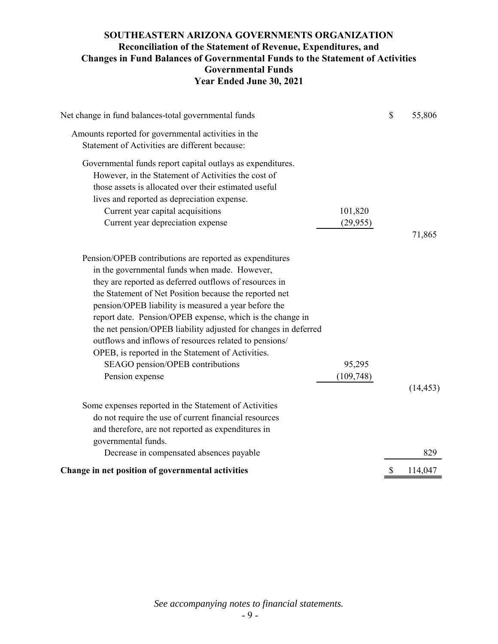# **SOUTHEASTERN ARIZONA GOVERNMENTS ORGANIZATION Reconciliation of the Statement of Revenue, Expenditures, and Changes in Fund Balances of Governmental Funds to the Statement of Activities Governmental Funds Year Ended June 30, 2021**

| Net change in fund balances-total governmental funds                                                              |            | \$<br>55,806  |
|-------------------------------------------------------------------------------------------------------------------|------------|---------------|
| Amounts reported for governmental activities in the                                                               |            |               |
| Statement of Activities are different because:                                                                    |            |               |
| Governmental funds report capital outlays as expenditures.<br>However, in the Statement of Activities the cost of |            |               |
| those assets is allocated over their estimated useful                                                             |            |               |
| lives and reported as depreciation expense.                                                                       |            |               |
|                                                                                                                   | 101,820    |               |
| Current year capital acquisitions                                                                                 |            |               |
| Current year depreciation expense                                                                                 | (29, 955)  | 71,865        |
| Pension/OPEB contributions are reported as expenditures                                                           |            |               |
| in the governmental funds when made. However,                                                                     |            |               |
| they are reported as deferred outflows of resources in                                                            |            |               |
| the Statement of Net Position because the reported net                                                            |            |               |
| pension/OPEB liability is measured a year before the                                                              |            |               |
| report date. Pension/OPEB expense, which is the change in                                                         |            |               |
| the net pension/OPEB liability adjusted for changes in deferred                                                   |            |               |
| outflows and inflows of resources related to pensions/                                                            |            |               |
| OPEB, is reported in the Statement of Activities.                                                                 |            |               |
| SEAGO pension/OPEB contributions                                                                                  | 95,295     |               |
| Pension expense                                                                                                   | (109, 748) |               |
|                                                                                                                   |            | (14, 453)     |
|                                                                                                                   |            |               |
| Some expenses reported in the Statement of Activities                                                             |            |               |
| do not require the use of current financial resources                                                             |            |               |
| and therefore, are not reported as expenditures in                                                                |            |               |
| governmental funds.                                                                                               |            |               |
| Decrease in compensated absences payable                                                                          |            | 829           |
| Change in net position of governmental activities                                                                 |            | \$<br>114,047 |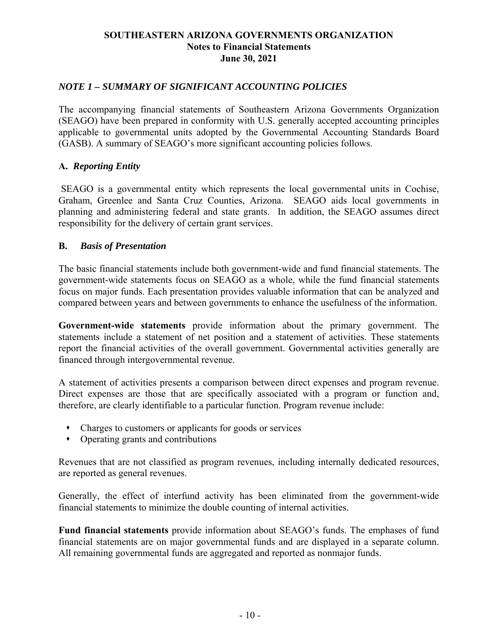# *NOTE 1 – SUMMARY OF SIGNIFICANT ACCOUNTING POLICIES*

The accompanying financial statements of Southeastern Arizona Governments Organization (SEAGO) have been prepared in conformity with U.S. generally accepted accounting principles applicable to governmental units adopted by the Governmental Accounting Standards Board (GASB). A summary of SEAGO's more significant accounting policies follows.

# **A.** *Reporting Entity*

SEAGO is a governmental entity which represents the local governmental units in Cochise, Graham, Greenlee and Santa Cruz Counties, Arizona. SEAGO aids local governments in planning and administering federal and state grants. In addition, the SEAGO assumes direct responsibility for the delivery of certain grant services.

## **B.** *Basis of Presentation*

The basic financial statements include both government-wide and fund financial statements. The government-wide statements focus on SEAGO as a whole, while the fund financial statements focus on major funds. Each presentation provides valuable information that can be analyzed and compared between years and between governments to enhance the usefulness of the information.

**Government-wide statements** provide information about the primary government. The statements include a statement of net position and a statement of activities. These statements report the financial activities of the overall government. Governmental activities generally are financed through intergovernmental revenue.

A statement of activities presents a comparison between direct expenses and program revenue. Direct expenses are those that are specifically associated with a program or function and, therefore, are clearly identifiable to a particular function. Program revenue include:

- Charges to customers or applicants for goods or services
- Operating grants and contributions

Revenues that are not classified as program revenues, including internally dedicated resources, are reported as general revenues.

Generally, the effect of interfund activity has been eliminated from the government-wide financial statements to minimize the double counting of internal activities.

**Fund financial statements** provide information about SEAGO's funds. The emphases of fund financial statements are on major governmental funds and are displayed in a separate column. All remaining governmental funds are aggregated and reported as nonmajor funds.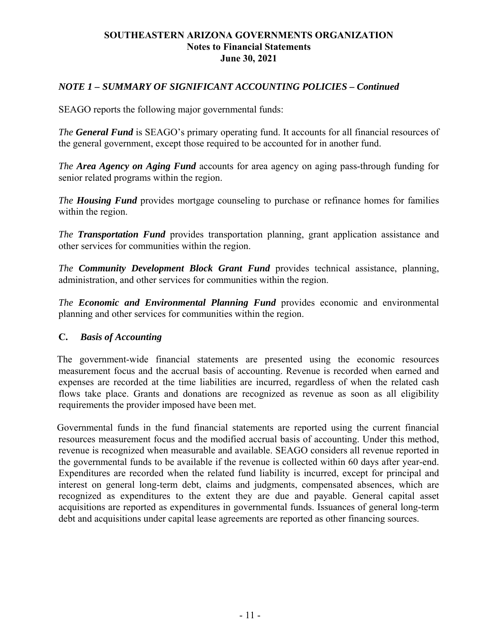# *NOTE 1 – SUMMARY OF SIGNIFICANT ACCOUNTING POLICIES – Continued*

SEAGO reports the following major governmental funds:

*The General Fund* is SEAGO's primary operating fund. It accounts for all financial resources of the general government, except those required to be accounted for in another fund.

*The Area Agency on Aging Fund* accounts for area agency on aging pass-through funding for senior related programs within the region.

*The Housing Fund* provides mortgage counseling to purchase or refinance homes for families within the region.

*The Transportation Fund* provides transportation planning, grant application assistance and other services for communities within the region.

*The Community Development Block Grant Fund* provides technical assistance, planning, administration, and other services for communities within the region.

*The Economic and Environmental Planning Fund* provides economic and environmental planning and other services for communities within the region.

## **C.** *Basis of Accounting*

The government-wide financial statements are presented using the economic resources measurement focus and the accrual basis of accounting. Revenue is recorded when earned and expenses are recorded at the time liabilities are incurred, regardless of when the related cash flows take place. Grants and donations are recognized as revenue as soon as all eligibility requirements the provider imposed have been met.

Governmental funds in the fund financial statements are reported using the current financial resources measurement focus and the modified accrual basis of accounting. Under this method, revenue is recognized when measurable and available. SEAGO considers all revenue reported in the governmental funds to be available if the revenue is collected within 60 days after year-end. Expenditures are recorded when the related fund liability is incurred, except for principal and interest on general long-term debt, claims and judgments, compensated absences, which are recognized as expenditures to the extent they are due and payable. General capital asset acquisitions are reported as expenditures in governmental funds. Issuances of general long-term debt and acquisitions under capital lease agreements are reported as other financing sources.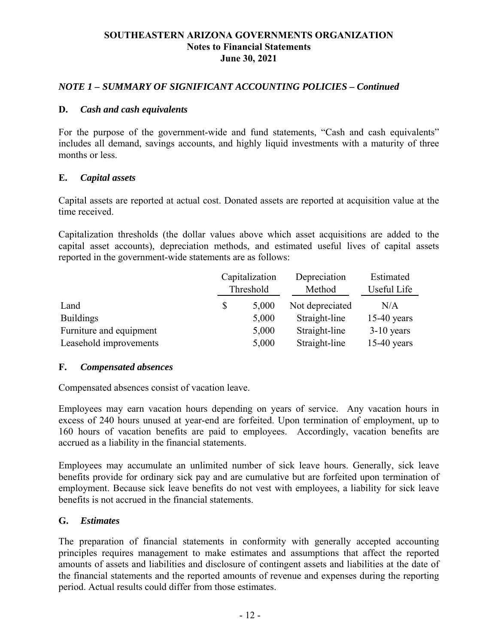# *NOTE 1 – SUMMARY OF SIGNIFICANT ACCOUNTING POLICIES – Continued*

## **D.** *Cash and cash equivalents*

For the purpose of the government-wide and fund statements, "Cash and cash equivalents" includes all demand, savings accounts, and highly liquid investments with a maturity of three months or less.

## **E.** *Capital assets*

Capital assets are reported at actual cost. Donated assets are reported at acquisition value at the time received.

Capitalization thresholds (the dollar values above which asset acquisitions are added to the capital asset accounts), depreciation methods, and estimated useful lives of capital assets reported in the government-wide statements are as follows:

|                         | Capitalization | Depreciation    | Estimated     |
|-------------------------|----------------|-----------------|---------------|
|                         | Threshold      | Method          | Useful Life   |
| Land                    | \$<br>5,000    | Not depreciated | N/A           |
| <b>Buildings</b>        | 5,000          | Straight-line   | $15-40$ years |
| Furniture and equipment | 5,000          | Straight-line   | $3-10$ years  |
| Leasehold improvements  | 5,000          | Straight-line   | $15-40$ years |

## **F.** *Compensated absences*

Compensated absences consist of vacation leave.

Employees may earn vacation hours depending on years of service. Any vacation hours in excess of 240 hours unused at year-end are forfeited. Upon termination of employment, up to 160 hours of vacation benefits are paid to employees. Accordingly, vacation benefits are accrued as a liability in the financial statements.

Employees may accumulate an unlimited number of sick leave hours. Generally, sick leave benefits provide for ordinary sick pay and are cumulative but are forfeited upon termination of employment. Because sick leave benefits do not vest with employees, a liability for sick leave benefits is not accrued in the financial statements.

## **G.** *Estimates*

The preparation of financial statements in conformity with generally accepted accounting principles requires management to make estimates and assumptions that affect the reported amounts of assets and liabilities and disclosure of contingent assets and liabilities at the date of the financial statements and the reported amounts of revenue and expenses during the reporting period. Actual results could differ from those estimates.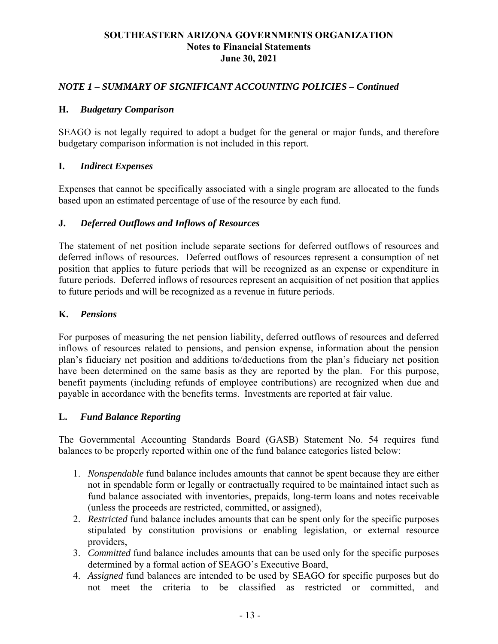# *NOTE 1 – SUMMARY OF SIGNIFICANT ACCOUNTING POLICIES – Continued*

## **H.** *Budgetary Comparison*

SEAGO is not legally required to adopt a budget for the general or major funds, and therefore budgetary comparison information is not included in this report.

## **I.** *Indirect Expenses*

Expenses that cannot be specifically associated with a single program are allocated to the funds based upon an estimated percentage of use of the resource by each fund.

## **J.** *Deferred Outflows and Inflows of Resources*

The statement of net position include separate sections for deferred outflows of resources and deferred inflows of resources. Deferred outflows of resources represent a consumption of net position that applies to future periods that will be recognized as an expense or expenditure in future periods. Deferred inflows of resources represent an acquisition of net position that applies to future periods and will be recognized as a revenue in future periods.

## **K.** *Pensions*

For purposes of measuring the net pension liability, deferred outflows of resources and deferred inflows of resources related to pensions, and pension expense, information about the pension plan's fiduciary net position and additions to/deductions from the plan's fiduciary net position have been determined on the same basis as they are reported by the plan. For this purpose, benefit payments (including refunds of employee contributions) are recognized when due and payable in accordance with the benefits terms. Investments are reported at fair value.

## **L.** *Fund Balance Reporting*

The Governmental Accounting Standards Board (GASB) Statement No. 54 requires fund balances to be properly reported within one of the fund balance categories listed below:

- 1. *Nonspendable* fund balance includes amounts that cannot be spent because they are either not in spendable form or legally or contractually required to be maintained intact such as fund balance associated with inventories, prepaids, long-term loans and notes receivable (unless the proceeds are restricted, committed, or assigned),
- 2. *Restricted* fund balance includes amounts that can be spent only for the specific purposes stipulated by constitution provisions or enabling legislation, or external resource providers,
- 3. *Committed* fund balance includes amounts that can be used only for the specific purposes determined by a formal action of SEAGO's Executive Board,
- 4. *Assigned* fund balances are intended to be used by SEAGO for specific purposes but do not meet the criteria to be classified as restricted or committed, and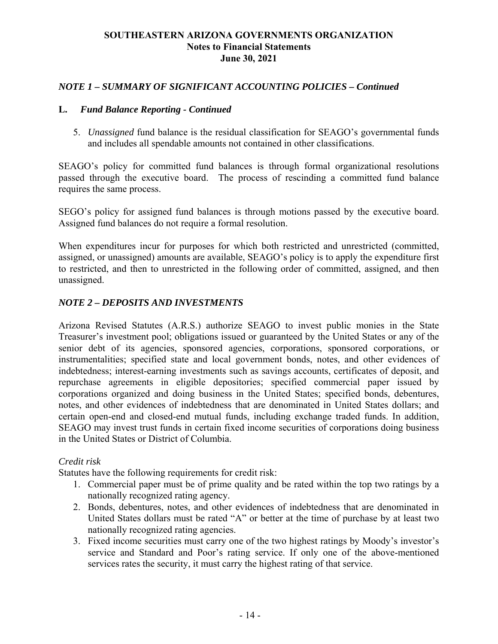# *NOTE 1 – SUMMARY OF SIGNIFICANT ACCOUNTING POLICIES – Continued*

## **L.** *Fund Balance Reporting - Continued*

5. *Unassigned* fund balance is the residual classification for SEAGO's governmental funds and includes all spendable amounts not contained in other classifications.

SEAGO's policy for committed fund balances is through formal organizational resolutions passed through the executive board. The process of rescinding a committed fund balance requires the same process.

SEGO's policy for assigned fund balances is through motions passed by the executive board. Assigned fund balances do not require a formal resolution.

When expenditures incur for purposes for which both restricted and unrestricted (committed, assigned, or unassigned) amounts are available, SEAGO's policy is to apply the expenditure first to restricted, and then to unrestricted in the following order of committed, assigned, and then unassigned.

# *NOTE 2 – DEPOSITS AND INVESTMENTS*

Arizona Revised Statutes (A.R.S.) authorize SEAGO to invest public monies in the State Treasurer's investment pool; obligations issued or guaranteed by the United States or any of the senior debt of its agencies, sponsored agencies, corporations, sponsored corporations, or instrumentalities; specified state and local government bonds, notes, and other evidences of indebtedness; interest-earning investments such as savings accounts, certificates of deposit, and repurchase agreements in eligible depositories; specified commercial paper issued by corporations organized and doing business in the United States; specified bonds, debentures, notes, and other evidences of indebtedness that are denominated in United States dollars; and certain open-end and closed-end mutual funds, including exchange traded funds. In addition, SEAGO may invest trust funds in certain fixed income securities of corporations doing business in the United States or District of Columbia.

## *Credit risk*

Statutes have the following requirements for credit risk:

- 1. Commercial paper must be of prime quality and be rated within the top two ratings by a nationally recognized rating agency.
- 2. Bonds, debentures, notes, and other evidences of indebtedness that are denominated in United States dollars must be rated "A" or better at the time of purchase by at least two nationally recognized rating agencies.
- 3. Fixed income securities must carry one of the two highest ratings by Moody's investor's service and Standard and Poor's rating service. If only one of the above-mentioned services rates the security, it must carry the highest rating of that service.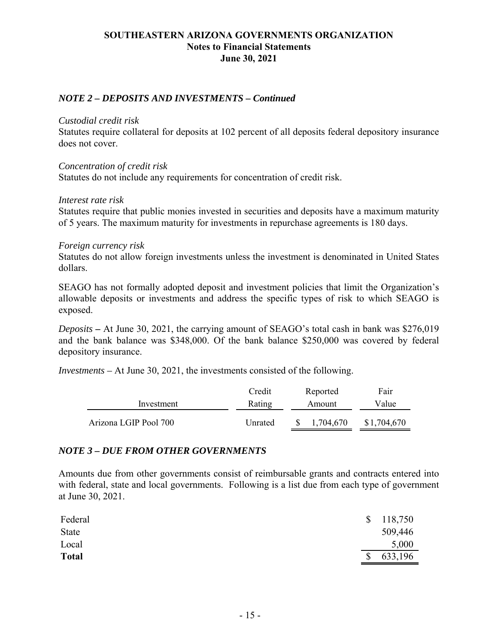# *NOTE 2 – DEPOSITS AND INVESTMENTS – Continued*

## *Custodial credit risk*

Statutes require collateral for deposits at 102 percent of all deposits federal depository insurance does not cover.

## *Concentration of credit risk*

Statutes do not include any requirements for concentration of credit risk.

## *Interest rate risk*

Statutes require that public monies invested in securities and deposits have a maximum maturity of 5 years. The maximum maturity for investments in repurchase agreements is 180 days.

## *Foreign currency risk*

Statutes do not allow foreign investments unless the investment is denominated in United States dollars.

SEAGO has not formally adopted deposit and investment policies that limit the Organization's allowable deposits or investments and address the specific types of risk to which SEAGO is exposed.

*Deposits –* At June 30, 2021, the carrying amount of SEAGO's total cash in bank was \$276,019 and the bank balance was \$348,000. Of the bank balance \$250,000 was covered by federal depository insurance.

*Investments –* At June 30, 2021, the investments consisted of the following.

|                       | Credit  | Reported  | Fair        |
|-----------------------|---------|-----------|-------------|
| Investment            | Rating  | Amount    | Value       |
| Arizona LGIP Pool 700 | Unrated | 1.704.670 | \$1,704,670 |

## *NOTE 3 – DUE FROM OTHER GOVERNMENTS*

Amounts due from other governments consist of reimbursable grants and contracts entered into with federal, state and local governments. Following is a list due from each type of government at June 30, 2021.

| Federal      | $\mathcal{S}$ | 118,750 |
|--------------|---------------|---------|
| <b>State</b> |               | 509,446 |
| Local        |               | 5,000   |
| <b>Total</b> | $\mathcal{S}$ | 633,196 |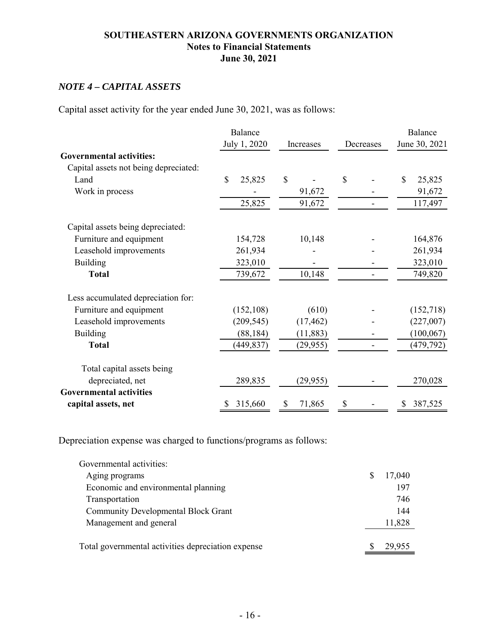# *NOTE 4 – CAPITAL ASSETS*

Capital asset activity for the year ended June 30, 2021, was as follows:

|                                       | Balance      |              |              | Balance       |
|---------------------------------------|--------------|--------------|--------------|---------------|
|                                       | July 1, 2020 | Increases    | Decreases    | June 30, 2021 |
| <b>Governmental activities:</b>       |              |              |              |               |
| Capital assets not being depreciated: |              |              |              |               |
| Land                                  | \$<br>25,825 | $\mathbb{S}$ | $\mathbb{S}$ | \$<br>25,825  |
| Work in process                       |              | 91,672       |              | 91,672        |
|                                       | 25,825       | 91,672       |              | 117,497       |
| Capital assets being depreciated:     |              |              |              |               |
| Furniture and equipment               | 154,728      | 10,148       |              | 164,876       |
| Leasehold improvements                | 261,934      |              |              | 261,934       |
| Building                              | 323,010      |              |              | 323,010       |
| <b>Total</b>                          | 739,672      | 10,148       |              | 749,820       |
| Less accumulated depreciation for:    |              |              |              |               |
| Furniture and equipment               | (152, 108)   | (610)        |              | (152,718)     |
| Leasehold improvements                | (209, 545)   | (17, 462)    |              | (227,007)     |
| <b>Building</b>                       | (88, 184)    | (11, 883)    |              | (100, 067)    |
| <b>Total</b>                          | (449, 837)   | (29, 955)    |              | (479, 792)    |
| Total capital assets being            |              |              |              |               |
| depreciated, net                      | 289,835      | (29, 955)    |              | 270,028       |
| <b>Governmental activities</b>        |              |              |              |               |
| capital assets, net                   | 315,660<br>Ÿ | 71,865<br>S  | \$           | 387,525<br>S  |

Depreciation expense was charged to functions/programs as follows:

| Governmental activities:                           |   |        |
|----------------------------------------------------|---|--------|
| Aging programs                                     | S | 17,040 |
| Economic and environmental planning                |   | 197    |
| Transportation                                     |   | 746    |
| <b>Community Developmental Block Grant</b>         |   | 144    |
| Management and general                             |   | 11,828 |
|                                                    |   |        |
| Total governmental activities depreciation expense |   | 29,955 |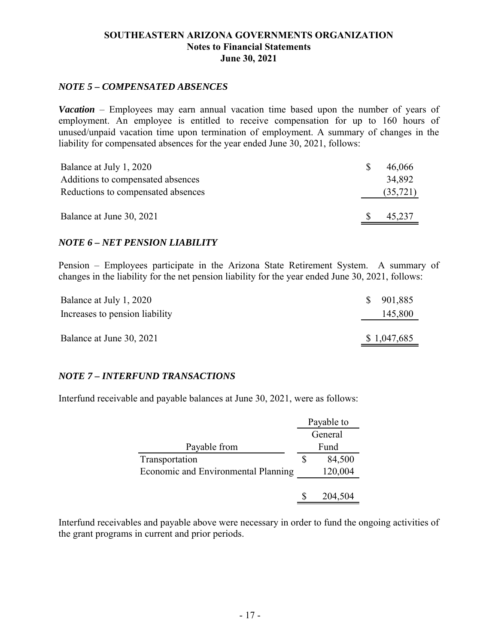# *NOTE 5 – COMPENSATED ABSENCES*

*Vacation* – Employees may earn annual vacation time based upon the number of years of employment. An employee is entitled to receive compensation for up to 160 hours of unused/unpaid vacation time upon termination of employment. A summary of changes in the liability for compensated absences for the year ended June 30, 2021, follows:

| Balance at July 1, 2020            | <sup>8</sup> | 46,066   |
|------------------------------------|--------------|----------|
| Additions to compensated absences  |              | 34.892   |
| Reductions to compensated absences |              | (35,721) |
|                                    |              |          |
| Balance at June 30, 2021           | <sup>S</sup> | 45,237   |

## *NOTE 6 – NET PENSION LIABILITY*

Pension – Employees participate in the Arizona State Retirement System. A summary of changes in the liability for the net pension liability for the year ended June 30, 2021, follows:

| Balance at July 1, 2020        | <sup>S</sup> | 901,885     |
|--------------------------------|--------------|-------------|
| Increases to pension liability |              | 145,800     |
|                                |              |             |
| Balance at June 30, 2021       |              | \$1,047,685 |

# *NOTE 7 – INTERFUND TRANSACTIONS*

Interfund receivable and payable balances at June 30, 2021, were as follows:

|                                     | Payable to |         |
|-------------------------------------|------------|---------|
|                                     |            | General |
| Payable from                        |            | Fund    |
| Transportation                      |            | 84,500  |
| Economic and Environmental Planning |            | 120,004 |
|                                     |            |         |
|                                     |            | 204,504 |

Interfund receivables and payable above were necessary in order to fund the ongoing activities of the grant programs in current and prior periods.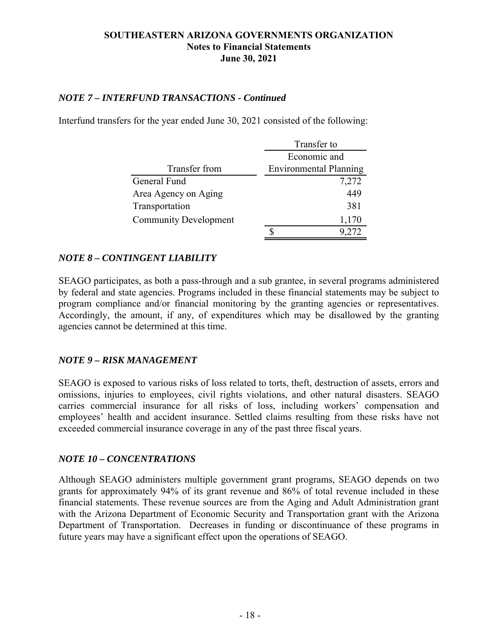# *NOTE 7 – INTERFUND TRANSACTIONS - Continued*

Interfund transfers for the year ended June 30, 2021 consisted of the following:

|                              | Transfer to                   |  |
|------------------------------|-------------------------------|--|
|                              | Economic and                  |  |
| Transfer from                | <b>Environmental Planning</b> |  |
| General Fund                 | 7,272                         |  |
| Area Agency on Aging         | 449                           |  |
| Transportation               | 381                           |  |
| <b>Community Development</b> | 1,170                         |  |
|                              |                               |  |

# *NOTE 8 – CONTINGENT LIABILITY*

SEAGO participates, as both a pass-through and a sub grantee, in several programs administered by federal and state agencies. Programs included in these financial statements may be subject to program compliance and/or financial monitoring by the granting agencies or representatives. Accordingly, the amount, if any, of expenditures which may be disallowed by the granting agencies cannot be determined at this time.

## *NOTE 9 – RISK MANAGEMENT*

SEAGO is exposed to various risks of loss related to torts, theft, destruction of assets, errors and omissions, injuries to employees, civil rights violations, and other natural disasters. SEAGO carries commercial insurance for all risks of loss, including workers' compensation and employees' health and accident insurance. Settled claims resulting from these risks have not exceeded commercial insurance coverage in any of the past three fiscal years.

## *NOTE 10 – CONCENTRATIONS*

Although SEAGO administers multiple government grant programs, SEAGO depends on two grants for approximately 94% of its grant revenue and 86% of total revenue included in these financial statements. These revenue sources are from the Aging and Adult Administration grant with the Arizona Department of Economic Security and Transportation grant with the Arizona Department of Transportation. Decreases in funding or discontinuance of these programs in future years may have a significant effect upon the operations of SEAGO.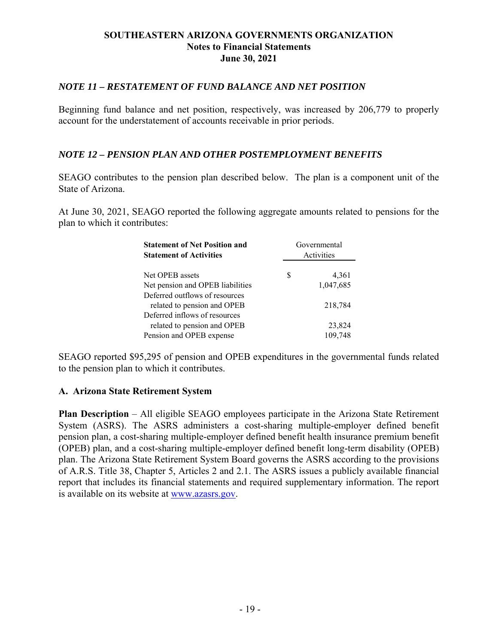# *NOTE 11 – RESTATEMENT OF FUND BALANCE AND NET POSITION*

Beginning fund balance and net position, respectively, was increased by 206,779 to properly account for the understatement of accounts receivable in prior periods.

# *NOTE 12 – PENSION PLAN AND OTHER POSTEMPLOYMENT BENEFITS*

SEAGO contributes to the pension plan described below. The plan is a component unit of the State of Arizona.

At June 30, 2021, SEAGO reported the following aggregate amounts related to pensions for the plan to which it contributes:

| <b>Statement of Net Position and</b><br><b>Statement of Activities</b> |   | Governmental<br>Activities |
|------------------------------------------------------------------------|---|----------------------------|
| Net OPEB assets                                                        | S | 4,361                      |
| Net pension and OPEB liabilities                                       |   | 1,047,685                  |
| Deferred outflows of resources                                         |   |                            |
| related to pension and OPEB                                            |   | 218,784                    |
| Deferred inflows of resources                                          |   |                            |
| related to pension and OPEB                                            |   | 23,824                     |
| Pension and OPEB expense                                               |   | 109.748                    |

SEAGO reported \$95,295 of pension and OPEB expenditures in the governmental funds related to the pension plan to which it contributes.

## **A. Arizona State Retirement System**

**Plan Description** – All eligible SEAGO employees participate in the Arizona State Retirement System (ASRS). The ASRS administers a cost-sharing multiple-employer defined benefit pension plan, a cost-sharing multiple-employer defined benefit health insurance premium benefit (OPEB) plan, and a cost-sharing multiple-employer defined benefit long-term disability (OPEB) plan. The Arizona State Retirement System Board governs the ASRS according to the provisions of A.R.S. Title 38, Chapter 5, Articles 2 and 2.1. The ASRS issues a publicly available financial report that includes its financial statements and required supplementary information. The report is available on its website at www.azasrs.gov.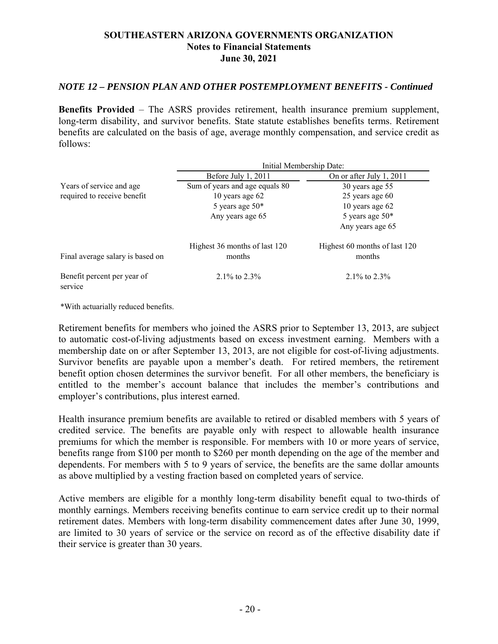# *NOTE 12 – PENSION PLAN AND OTHER POSTEMPLOYMENT BENEFITS - Continued*

**Benefits Provided** – The ASRS provides retirement, health insurance premium supplement, long-term disability, and survivor benefits. State statute establishes benefits terms. Retirement benefits are calculated on the basis of age, average monthly compensation, and service credit as follows:

|                                        |                                         | Initial Membership Date:                |
|----------------------------------------|-----------------------------------------|-----------------------------------------|
|                                        | Before July 1, 2011                     | On or after July 1, 2011                |
| Years of service and age               | Sum of years and age equals 80          | 30 years age 55                         |
| required to receive benefit            | 10 years age $62$                       | 25 years age 60                         |
|                                        | 5 years age $50*$                       | 10 years age $62$                       |
|                                        | Any years age 65                        | 5 years age $50*$                       |
|                                        |                                         | Any years age 65                        |
| Final average salary is based on       | Highest 36 months of last 120<br>months | Highest 60 months of last 120<br>months |
| Benefit percent per year of<br>service | $2.1\%$ to $2.3\%$                      | 2.1\% to $2.3\%$                        |

\*With actuarially reduced benefits.

Retirement benefits for members who joined the ASRS prior to September 13, 2013, are subject to automatic cost-of-living adjustments based on excess investment earning. Members with a membership date on or after September 13, 2013, are not eligible for cost-of-living adjustments. Survivor benefits are payable upon a member's death. For retired members, the retirement benefit option chosen determines the survivor benefit. For all other members, the beneficiary is entitled to the member's account balance that includes the member's contributions and employer's contributions, plus interest earned.

Health insurance premium benefits are available to retired or disabled members with 5 years of credited service. The benefits are payable only with respect to allowable health insurance premiums for which the member is responsible. For members with 10 or more years of service, benefits range from \$100 per month to \$260 per month depending on the age of the member and dependents. For members with 5 to 9 years of service, the benefits are the same dollar amounts as above multiplied by a vesting fraction based on completed years of service.

Active members are eligible for a monthly long-term disability benefit equal to two-thirds of monthly earnings. Members receiving benefits continue to earn service credit up to their normal retirement dates. Members with long-term disability commencement dates after June 30, 1999, are limited to 30 years of service or the service on record as of the effective disability date if their service is greater than 30 years.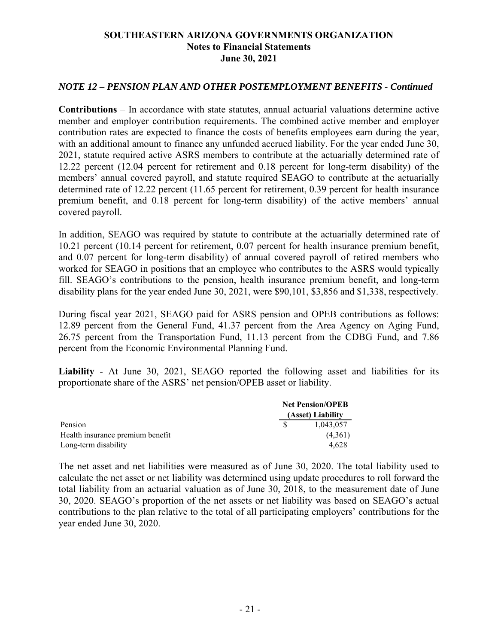# *NOTE 12 – PENSION PLAN AND OTHER POSTEMPLOYMENT BENEFITS - Continued*

**Contributions** – In accordance with state statutes, annual actuarial valuations determine active member and employer contribution requirements. The combined active member and employer contribution rates are expected to finance the costs of benefits employees earn during the year, with an additional amount to finance any unfunded accrued liability. For the year ended June 30, 2021, statute required active ASRS members to contribute at the actuarially determined rate of 12.22 percent (12.04 percent for retirement and 0.18 percent for long-term disability) of the members' annual covered payroll, and statute required SEAGO to contribute at the actuarially determined rate of 12.22 percent (11.65 percent for retirement, 0.39 percent for health insurance premium benefit, and 0.18 percent for long-term disability) of the active members' annual covered payroll.

In addition, SEAGO was required by statute to contribute at the actuarially determined rate of 10.21 percent (10.14 percent for retirement, 0.07 percent for health insurance premium benefit, and 0.07 percent for long-term disability) of annual covered payroll of retired members who worked for SEAGO in positions that an employee who contributes to the ASRS would typically fill. SEAGO's contributions to the pension, health insurance premium benefit, and long-term disability plans for the year ended June 30, 2021, were \$90,101, \$3,856 and \$1,338, respectively.

During fiscal year 2021, SEAGO paid for ASRS pension and OPEB contributions as follows: 12.89 percent from the General Fund, 41.37 percent from the Area Agency on Aging Fund, 26.75 percent from the Transportation Fund, 11.13 percent from the CDBG Fund, and 7.86 percent from the Economic Environmental Planning Fund.

**Liability** - At June 30, 2021, SEAGO reported the following asset and liabilities for its proportionate share of the ASRS' net pension/OPEB asset or liability.

|                                  | <b>Net Pension/OPEB</b> |                   |
|----------------------------------|-------------------------|-------------------|
|                                  |                         | (Asset) Liability |
| Pension                          |                         | 1.043.057         |
| Health insurance premium benefit |                         | (4,361)           |
| Long-term disability             |                         | 4.628             |

The net asset and net liabilities were measured as of June 30, 2020. The total liability used to calculate the net asset or net liability was determined using update procedures to roll forward the total liability from an actuarial valuation as of June 30, 2018, to the measurement date of June 30, 2020. SEAGO's proportion of the net assets or net liability was based on SEAGO's actual contributions to the plan relative to the total of all participating employers' contributions for the year ended June 30, 2020.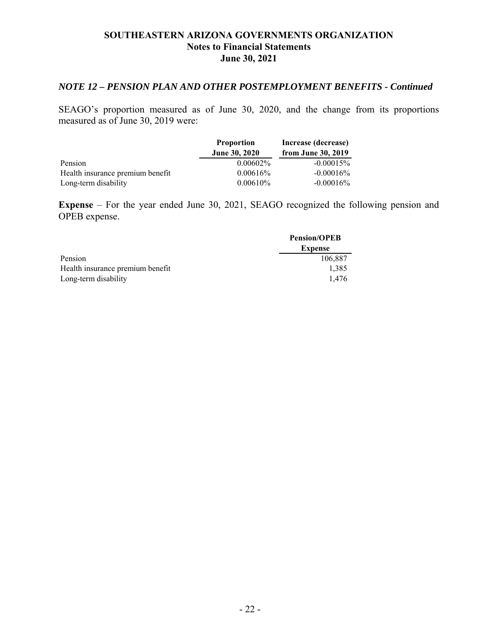# *NOTE 12 – PENSION PLAN AND OTHER POSTEMPLOYMENT BENEFITS - Continued*

SEAGO's proportion measured as of June 30, 2020, and the change from its proportions measured as of June 30, 2019 were:

|                                  | <b>Proportion</b>    | Increase (decrease) |
|----------------------------------|----------------------|---------------------|
|                                  | <b>June 30, 2020</b> | from June 30, 2019  |
| Pension                          | $0.00602\%$          | $-0.00015\%$        |
| Health insurance premium benefit | $0.00616\%$          | $-0.00016\%$        |
| Long-term disability             | $0.00610\%$          | $-0.00016\%$        |

**Expense** – For the year ended June 30, 2021, SEAGO recognized the following pension and OPEB expense.

|                                  | <b>Pension/OPEB</b> |
|----------------------------------|---------------------|
|                                  | <b>Expense</b>      |
| Pension                          | 106.887             |
| Health insurance premium benefit | 1,385               |
| Long-term disability             | 1.476               |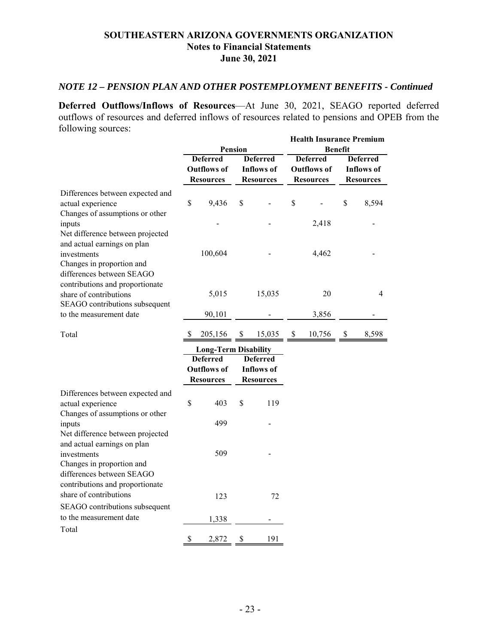# *NOTE 12 – PENSION PLAN AND OTHER POSTEMPLOYMENT BENEFITS - Continued*

**Deferred Outflows/Inflows of Resources**—At June 30, 2021, SEAGO reported deferred outflows of resources and deferred inflows of resources related to pensions and OPEB from the following sources: **Health Insurance Premium** 

|                                                                                                                                          |                 |                             | <b>Pension</b>  |                   |                 | Health Insurance Premium | <b>Benefit</b> |                   |
|------------------------------------------------------------------------------------------------------------------------------------------|-----------------|-----------------------------|-----------------|-------------------|-----------------|--------------------------|----------------|-------------------|
|                                                                                                                                          | <b>Deferred</b> |                             | <b>Deferred</b> |                   | <b>Deferred</b> |                          |                | <b>Deferred</b>   |
|                                                                                                                                          |                 | <b>Outflows of</b>          |                 | <b>Inflows</b> of |                 | <b>Outflows of</b>       |                | <b>Inflows of</b> |
|                                                                                                                                          |                 | <b>Resources</b>            |                 | <b>Resources</b>  |                 | <b>Resources</b>         |                | <b>Resources</b>  |
| Differences between expected and<br>actual experience<br>Changes of assumptions or other                                                 | \$              | 9,436                       | \$              |                   | $\mathbb{S}$    |                          | \$             | 8,594             |
| inputs<br>Net difference between projected<br>and actual earnings on plan                                                                |                 |                             |                 |                   |                 | 2,418                    |                |                   |
| investments<br>Changes in proportion and<br>differences between SEAGO                                                                    |                 | 100,604                     |                 |                   |                 | 4,462                    |                |                   |
| contributions and proportionate<br>share of contributions<br>SEAGO contributions subsequent                                              |                 | 5,015                       |                 | 15,035            |                 | 20                       |                | $\overline{4}$    |
| to the measurement date                                                                                                                  |                 | 90,101                      |                 |                   |                 | 3,856                    |                |                   |
| Total                                                                                                                                    | S.              | 205,156                     | \$              | 15,035            | \$              | 10,756                   | \$             | 8,598             |
|                                                                                                                                          |                 | <b>Long-Term Disability</b> |                 |                   |                 |                          |                |                   |
|                                                                                                                                          |                 | <b>Deferred</b>             |                 | <b>Deferred</b>   |                 |                          |                |                   |
|                                                                                                                                          |                 | <b>Outflows of</b>          |                 | <b>Inflows of</b> |                 |                          |                |                   |
|                                                                                                                                          |                 | <b>Resources</b>            |                 | <b>Resources</b>  |                 |                          |                |                   |
| Differences between expected and<br>actual experience<br>Changes of assumptions or other                                                 | \$              | 403                         | \$              | 119               |                 |                          |                |                   |
| inputs                                                                                                                                   |                 | 499                         |                 |                   |                 |                          |                |                   |
| Net difference between projected<br>and actual earnings on plan<br>investments<br>Changes in proportion and<br>differences between SEAGO |                 | 509                         |                 |                   |                 |                          |                |                   |
| contributions and proportionate<br>share of contributions<br>SEAGO contributions subsequent                                              |                 | 123                         |                 | 72                |                 |                          |                |                   |
| to the measurement date                                                                                                                  |                 | 1,338                       |                 |                   |                 |                          |                |                   |
| Total                                                                                                                                    |                 |                             |                 |                   |                 |                          |                |                   |
|                                                                                                                                          | \$              | 2,872                       | \$              | 191               |                 |                          |                |                   |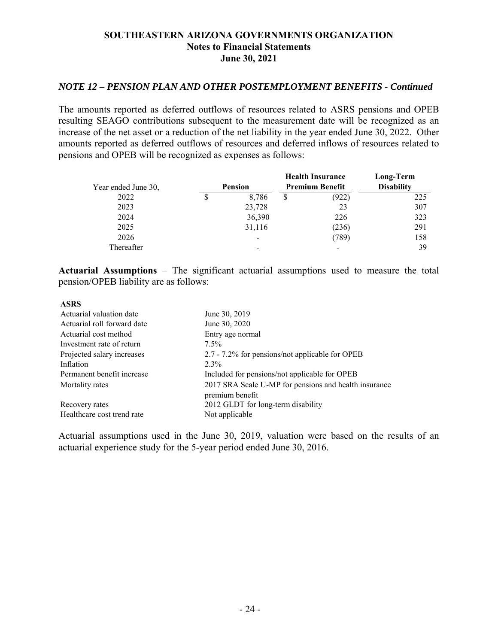# *NOTE 12 – PENSION PLAN AND OTHER POSTEMPLOYMENT BENEFITS - Continued*

The amounts reported as deferred outflows of resources related to ASRS pensions and OPEB resulting SEAGO contributions subsequent to the measurement date will be recognized as an increase of the net asset or a reduction of the net liability in the year ended June 30, 2022. Other amounts reported as deferred outflows of resources and deferred inflows of resources related to pensions and OPEB will be recognized as expenses as follows:

|                     |   |                |   | <b>Health Insurance</b> | Long-Term         |
|---------------------|---|----------------|---|-------------------------|-------------------|
| Year ended June 30, |   | <b>Pension</b> |   | <b>Premium Benefit</b>  | <b>Disability</b> |
| 2022                | S | 8.786          | S | (922)                   | 225               |
| 2023                |   | 23,728         |   | 23                      | 307               |
| 2024                |   | 36,390         |   | 226                     | 323               |
| 2025                |   | 31,116         |   | (236)                   | 291               |
| 2026                |   | -              |   | (789)                   | 158               |
| Thereafter          |   |                |   | -                       | 39                |

**Actuarial Assumptions** – The significant actuarial assumptions used to measure the total pension/OPEB liability are as follows:

| <b>ASRS</b>                 |                                                                          |
|-----------------------------|--------------------------------------------------------------------------|
| Actuarial valuation date    | June 30, 2019                                                            |
| Actuarial roll forward date | June 30, 2020                                                            |
| Actuarial cost method       | Entry age normal                                                         |
| Investment rate of return   | $7.5\%$                                                                  |
| Projected salary increases  | 2.7 - 7.2% for pensions/not applicable for OPEB                          |
| Inflation                   | $2.3\%$                                                                  |
| Permanent benefit increase  | Included for pensions/not applicable for OPEB                            |
| Mortality rates             | 2017 SRA Scale U-MP for pensions and health insurance<br>premium benefit |
| Recovery rates              | 2012 GLDT for long-term disability                                       |
| Healthcare cost trend rate  | Not applicable                                                           |

Actuarial assumptions used in the June 30, 2019, valuation were based on the results of an actuarial experience study for the 5-year period ended June 30, 2016.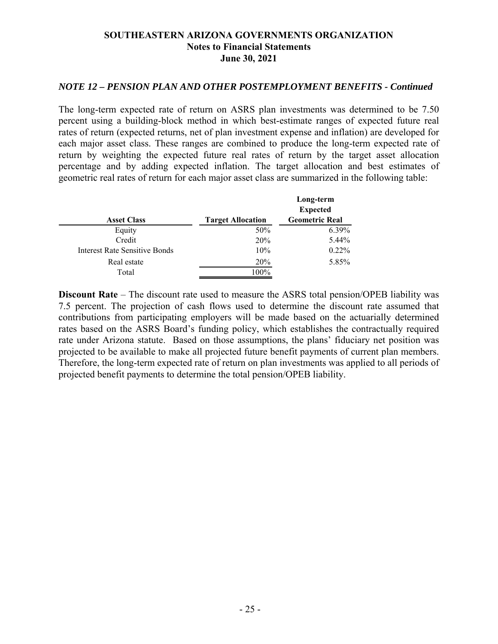## *NOTE 12 – PENSION PLAN AND OTHER POSTEMPLOYMENT BENEFITS - Continued*

The long-term expected rate of return on ASRS plan investments was determined to be 7.50 percent using a building-block method in which best-estimate ranges of expected future real rates of return (expected returns, net of plan investment expense and inflation) are developed for each major asset class. These ranges are combined to produce the long-term expected rate of return by weighting the expected future real rates of return by the target asset allocation percentage and by adding expected inflation. The target allocation and best estimates of geometric real rates of return for each major asset class are summarized in the following table:

| <b>Asset Class</b>            | <b>Target Allocation</b> | Long-term<br><b>Expected</b><br><b>Geometric Real</b> |
|-------------------------------|--------------------------|-------------------------------------------------------|
|                               |                          |                                                       |
| Equity                        | 50%                      | 6.39%                                                 |
| Credit                        | 20%                      | 5.44%                                                 |
| Interest Rate Sensitive Bonds | 10%                      | $0.22\%$                                              |
| Real estate                   | <b>20%</b>               | 5.85%                                                 |
| Total                         | 100%                     |                                                       |

**Discount Rate** – The discount rate used to measure the ASRS total pension/OPEB liability was 7.5 percent. The projection of cash flows used to determine the discount rate assumed that contributions from participating employers will be made based on the actuarially determined rates based on the ASRS Board's funding policy, which establishes the contractually required rate under Arizona statute. Based on those assumptions, the plans' fiduciary net position was projected to be available to make all projected future benefit payments of current plan members. Therefore, the long-term expected rate of return on plan investments was applied to all periods of projected benefit payments to determine the total pension/OPEB liability.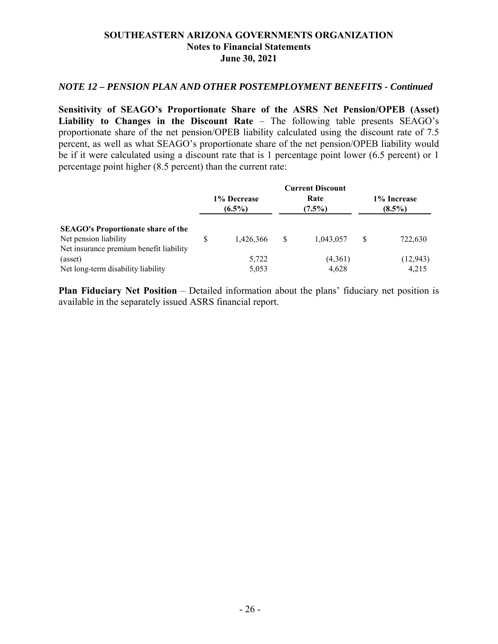## *NOTE 12 – PENSION PLAN AND OTHER POSTEMPLOYMENT BENEFITS - Continued*

**Sensitivity of SEAGO's Proportionate Share of the ASRS Net Pension/OPEB (Asset) Liability to Changes in the Discount Rate** – The following table presents SEAGO's proportionate share of the net pension/OPEB liability calculated using the discount rate of 7.5 percent, as well as what SEAGO's proportionate share of the net pension/OPEB liability would be if it were calculated using a discount rate that is 1 percentage point lower (6.5 percent) or 1 percentage point higher (8.5 percent) than the current rate:

|                                                                    |                          |           | <b>Current Discount</b> |                          |
|--------------------------------------------------------------------|--------------------------|-----------|-------------------------|--------------------------|
|                                                                    | 1% Decrease<br>$(6.5\%)$ |           | Rate<br>$(7.5\%)$       | 1% Increase<br>$(8.5\%)$ |
| <b>SEAGO's Proportionate share of the</b><br>Net pension liability | S                        | 1,426,366 | \$<br>1,043,057         | \$<br>722,630            |
| Net insurance premium benefit liability                            |                          |           |                         |                          |
| (asset)                                                            |                          | 5,722     | (4,361)                 | (12, 943)                |
| Net long-term disability liability                                 |                          | 5,053     | 4,628                   | 4,215                    |

**Plan Fiduciary Net Position** – Detailed information about the plans' fiduciary net position is available in the separately issued ASRS financial report.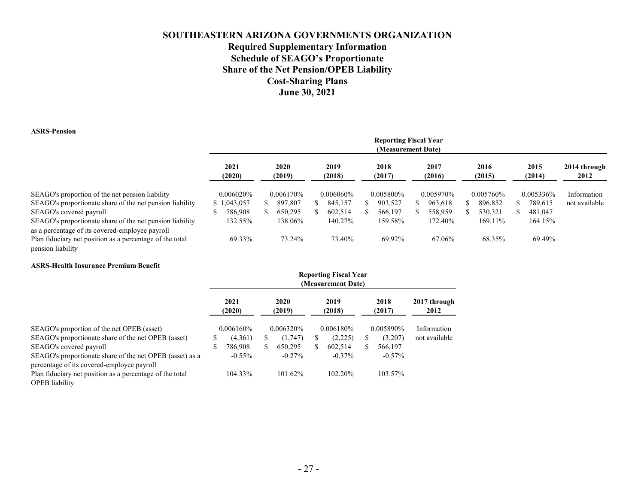# **SOUTHEASTERN ARIZONA GOVERNMENTS ORGANIZATION Required Supplementary Information Schedule of SEAGO's Proportionate Share of the Net Pension/OPEB Liability Cost-Sharing Plans June 30, 2021**

#### **ASRS-Pension**

pension liability

|                                                                                                                                             | <b>Reporting Fiscal Year</b><br>(Measurement Date) |  |                |    |                |  |                |  |                |  |                |  |                |                      |
|---------------------------------------------------------------------------------------------------------------------------------------------|----------------------------------------------------|--|----------------|----|----------------|--|----------------|--|----------------|--|----------------|--|----------------|----------------------|
|                                                                                                                                             | 2021<br>(2020)                                     |  | 2020<br>(2019) |    | 2019<br>(2018) |  | 2018<br>(2017) |  | 2017<br>(2016) |  | 2016<br>(2015) |  | 2015<br>(2014) | 2014 through<br>2012 |
| SEAGO's proportion of the net pension liability                                                                                             | 0.006020%                                          |  | 0.006170\%     |    | $0.006060\%$   |  | 0.005800%      |  | 0.005970%      |  | 0.005760%      |  | 0.005336%      | Information          |
| SEAGO's proportionate share of the net pension liability                                                                                    | \$1,043,057                                        |  | 897,807        | S. | 845,157        |  | 903,527        |  | 963,618        |  | 896,852        |  | 789.615        | not available        |
| SEAGO's covered payroll                                                                                                                     | 786,908                                            |  | 650,295        |    | 602,514        |  | 566,197        |  | 558,959        |  | 530,321        |  | 481,047        |                      |
| SEAGO's proportionate share of the net pension liability                                                                                    | 132.55%                                            |  | 138.06%        |    | 140.27%        |  | 159.58%        |  | 172.40%        |  | 169.11%        |  | 164.15%        |                      |
| as a percentage of its covered-employee payroll<br>Plan fiduciary net position as a percentage of the total<br>ing a shekarar 1961. (1946). | 69.33%                                             |  | 73.24%         |    | 73.40%         |  | 69.92%         |  | 67.06%         |  | 68.35%         |  | 69.49%         |                      |

# **ASRS-Health Insurance Premium Benefit**

|                                                                                                        |   |                |   |                | <b>Reporting Fiscal Year</b><br>(Measurement Date) |    |                |                      |
|--------------------------------------------------------------------------------------------------------|---|----------------|---|----------------|----------------------------------------------------|----|----------------|----------------------|
|                                                                                                        |   | 2021<br>(2020) |   | 2020<br>(2019) | 2019<br>(2018)                                     |    | 2018<br>(2017) | 2017 through<br>2012 |
| SEAGO's proportion of the net OPEB (asset)                                                             |   | 0.006160%      |   | 0.006320\%     | 0.006180\%                                         |    | 0.005890%      | Information          |
| SEAGO's proportionate share of the net OPEB (asset)                                                    |   | (4,361)        | S | (1,747)        | \$<br>(2,225)                                      | ۰Ъ | (3,207)        | not available        |
| SEAGO's covered payroll                                                                                | S | 786,908        |   | 650,295        | \$<br>602,514                                      |    | 566,197        |                      |
| SEAGO's proportionate share of the net OPEB (asset) as a<br>percentage of its covered-employee payroll |   | $-0.55\%$      |   | $-0.27\%$      | $-0.37\%$                                          |    | $-0.57\%$      |                      |
| Plan fiduciary net position as a percentage of the total                                               |   | 104.33%        |   | 101.62%        | 102.20%                                            |    | 103.57%        |                      |
| <b>OPEB</b> liability                                                                                  |   |                |   |                |                                                    |    |                |                      |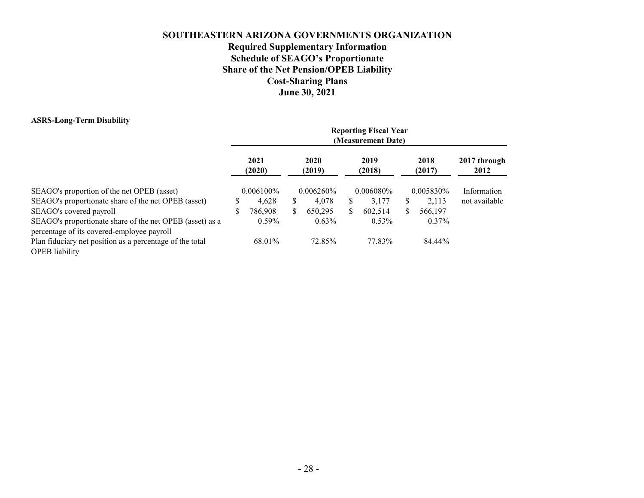# **SOUTHEASTERN ARIZONA GOVERNMENTS ORGANIZATION Required Supplementary Information Schedule of SEAGO's Proportionate Share of the Net Pension/OPEB Liability Cost-Sharing Plans June 30, 2021**

#### **ASRS-Long-Term Disability**

|                                                                                                                              |    |                |                |              |                | <b>Reporting Fiscal Year</b><br>(Measurement Date) |                |                      |  |
|------------------------------------------------------------------------------------------------------------------------------|----|----------------|----------------|--------------|----------------|----------------------------------------------------|----------------|----------------------|--|
| SEAGO's proportion of the net OPEB (asset)<br>SEAGO's proportionate share of the net OPEB (asset)<br>SEAGO's covered payroll |    | 2021<br>(2020) | 2020<br>(2019) |              | 2019<br>(2018) |                                                    | 2018<br>(2017) | 2017 through<br>2012 |  |
|                                                                                                                              |    | $0.006100\%$   |                | $0.006260\%$ |                | $0.006080\%$                                       | 0.005830\%     | Information          |  |
|                                                                                                                              | S  | 4,628          | \$             | 4.078        | S              | 3.177                                              | 2,113          | not available        |  |
|                                                                                                                              | \$ | 786,908        | \$             | 650,295      | \$             | 602.514                                            | 566,197        |                      |  |
| SEAGO's proportionate share of the net OPEB (asset) as a<br>percentage of its covered-employee payroll                       |    | $0.59\%$       |                | $0.63\%$     |                | $0.53\%$                                           | $0.37\%$       |                      |  |
| Plan fiduciary net position as a percentage of the total<br><b>OPEB</b> liability                                            |    | 68.01%         |                | 72.85%       |                | 77.83%                                             | 84.44%         |                      |  |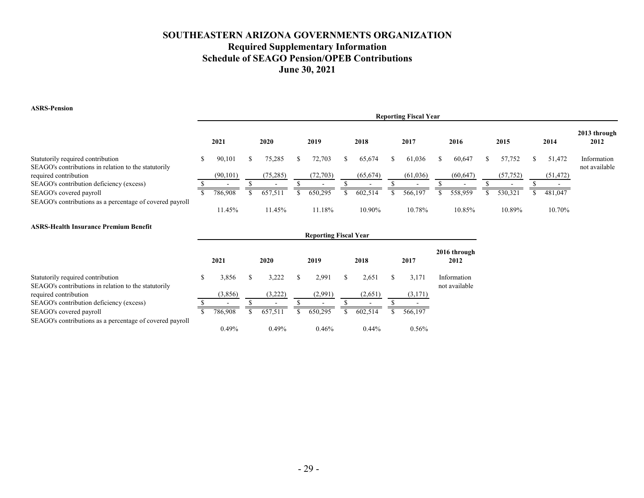# **SOUTHEASTERN ARIZONA GOVERNMENTS ORGANIZATION Required Supplementary Information Schedule of SEAGO Pension/OPEB Contributions June 30, 2021**

**ASRS-Pension**

|                                                                                           |           |           |           |           | <b>Reporting Fiscal Year</b> |           |           |           |                              |
|-------------------------------------------------------------------------------------------|-----------|-----------|-----------|-----------|------------------------------|-----------|-----------|-----------|------------------------------|
|                                                                                           | 2021      | 2020      | 2019      | 2018      | 2017                         | 2016      | 2015      | 2014      | 2013 through<br>2012         |
| Statutorily required contribution<br>SEAGO's contributions in relation to the statutorily | 90.101    | 75.285    | 72.703    | 65.674    | 61,036                       | 60.647    | 57,752    | 51,472    | Information<br>not available |
| required contribution                                                                     | (90, 101) | (75, 285) | (72, 703) | (65, 674) | (61,036)                     | (60, 647) | (57, 752) | (51, 472) |                              |
| SEAGO's contribution deficiency (excess)                                                  |           |           |           |           |                              |           |           |           |                              |
| SEAGO's covered payroll                                                                   | 786,908   | 657.511   | 650,295   | 602.514   | 566,197                      | 558.959   | 530,321   | 481,047   |                              |
| SEAGO's contributions as a percentage of covered payroll                                  | 11.45%    | 11.45%    | 11.18%    | 10.90%    | 10.78%                       | 10.85%    | 10.89%    | 10.70%    |                              |

#### **ASRS-Health Insurance Premium Benefit**

|                                                                                           |                          |     |                          | <b>Reporting Fiscal Year</b> |   |                          |   |          |                              |
|-------------------------------------------------------------------------------------------|--------------------------|-----|--------------------------|------------------------------|---|--------------------------|---|----------|------------------------------|
|                                                                                           | 2021                     |     | 2020                     | 2019                         |   | 2018                     |   | 2017     | 2016 through<br>2012         |
| Statutorily required contribution<br>SEAGO's contributions in relation to the statutorily | 3,856                    | \$. | 3.222                    | 2.991                        | S | 2,651                    | S | 3,171    | Information<br>not available |
| required contribution                                                                     | (3,856)                  |     | (3,222)                  | (2,991)                      |   | (2,651)                  |   | (3,171)  |                              |
| SEAGO's contribution deficiency (excess)                                                  | $\overline{\phantom{0}}$ |     | $\overline{\phantom{0}}$ | -                            |   | $\overline{\phantom{0}}$ |   |          |                              |
| SEAGO's covered payroll                                                                   | 786,908                  |     | 657,511                  | 650,295                      |   | 602.514                  |   | 566,197  |                              |
| SEAGO's contributions as a percentage of covered payroll                                  | 0.49%                    |     | 0.49%                    | 0.46%                        |   | $0.44\%$                 |   | $0.56\%$ |                              |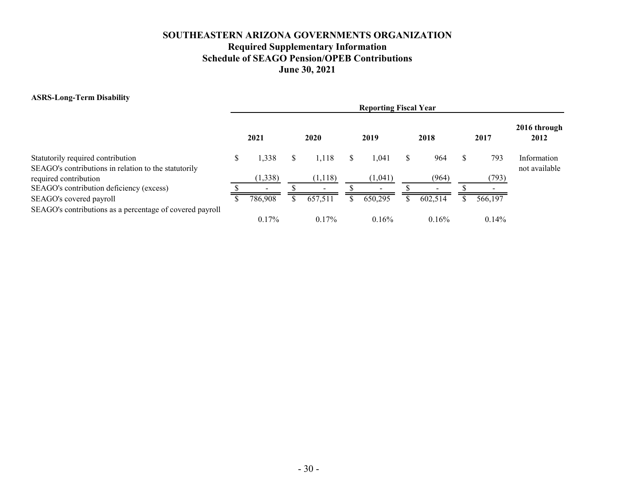# **SOUTHEASTERN ARIZONA GOVERNMENTS ORGANIZATION Required Supplementary Information Schedule of SEAGO Pension/OPEB Contributions June 30, 2021**

#### **ASRS-Long-Term Disability**

|                                                                                           |   |          |                          | <b>Reporting Fiscal Year</b> |                          |          |                              |
|-------------------------------------------------------------------------------------------|---|----------|--------------------------|------------------------------|--------------------------|----------|------------------------------|
|                                                                                           |   | 2021     | 2020                     | 2019                         | 2018                     | 2017     | 2016 through<br>2012         |
| Statutorily required contribution<br>SEAGO's contributions in relation to the statutorily | S | 1,338    | 1.118                    | 1.041                        | 964                      | 793      | Information<br>not available |
| required contribution                                                                     |   | (1, 338) | (1,118)                  | (1,041)                      | (964)                    | 793)     |                              |
| SEAGO's contribution deficiency (excess)                                                  |   | $\sim$   | $\overline{\phantom{0}}$ | $\overline{\phantom{0}}$     | $\overline{\phantom{a}}$ |          |                              |
| SEAGO's covered payroll                                                                   |   | 786,908  | 657,511                  | 650,295                      | 602,514                  | 566,197  |                              |
| SEAGO's contributions as a percentage of covered payroll                                  |   | $0.17\%$ | $0.17\%$                 | 0.16%                        | 0.16%                    | $0.14\%$ |                              |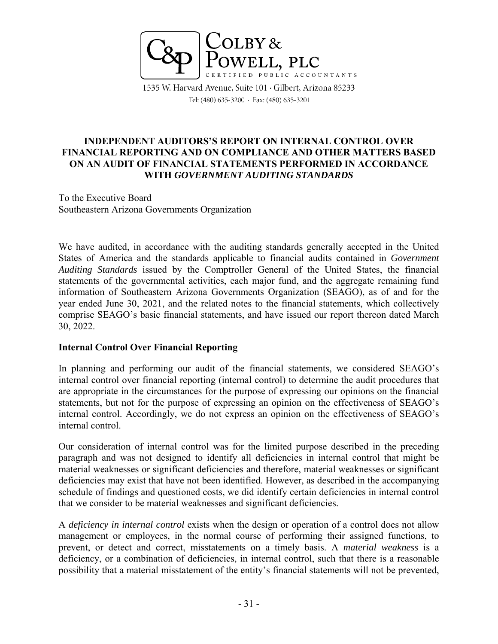

1535 W. Harvard Avenue, Suite 101 · Gilbert, Arizona 85233 Tel: (480) 635-3200 · Fax: (480) 635-3201

# **INDEPENDENT AUDITORS'S REPORT ON INTERNAL CONTROL OVER FINANCIAL REPORTING AND ON COMPLIANCE AND OTHER MATTERS BASED ON AN AUDIT OF FINANCIAL STATEMENTS PERFORMED IN ACCORDANCE WITH** *GOVERNMENT AUDITING STANDARDS*

To the Executive Board Southeastern Arizona Governments Organization

We have audited, in accordance with the auditing standards generally accepted in the United States of America and the standards applicable to financial audits contained in *Government Auditing Standards* issued by the Comptroller General of the United States, the financial statements of the governmental activities, each major fund, and the aggregate remaining fund information of Southeastern Arizona Governments Organization (SEAGO), as of and for the year ended June 30, 2021, and the related notes to the financial statements, which collectively comprise SEAGO's basic financial statements, and have issued our report thereon dated March 30, 2022.

## **Internal Control Over Financial Reporting**

In planning and performing our audit of the financial statements, we considered SEAGO's internal control over financial reporting (internal control) to determine the audit procedures that are appropriate in the circumstances for the purpose of expressing our opinions on the financial statements, but not for the purpose of expressing an opinion on the effectiveness of SEAGO's internal control. Accordingly, we do not express an opinion on the effectiveness of SEAGO's internal control.

Our consideration of internal control was for the limited purpose described in the preceding paragraph and was not designed to identify all deficiencies in internal control that might be material weaknesses or significant deficiencies and therefore, material weaknesses or significant deficiencies may exist that have not been identified. However, as described in the accompanying schedule of findings and questioned costs, we did identify certain deficiencies in internal control that we consider to be material weaknesses and significant deficiencies.

A *deficiency in internal control* exists when the design or operation of a control does not allow management or employees, in the normal course of performing their assigned functions, to prevent, or detect and correct, misstatements on a timely basis. A *material weakness* is a deficiency, or a combination of deficiencies, in internal control, such that there is a reasonable possibility that a material misstatement of the entity's financial statements will not be prevented,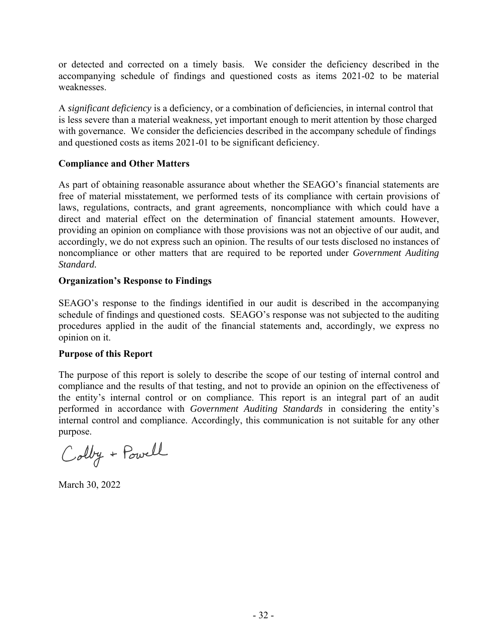or detected and corrected on a timely basis. We consider the deficiency described in the accompanying schedule of findings and questioned costs as items 2021-02 to be material weaknesses.

A *significant deficiency* is a deficiency, or a combination of deficiencies, in internal control that is less severe than a material weakness, yet important enough to merit attention by those charged with governance. We consider the deficiencies described in the accompany schedule of findings and questioned costs as items 2021-01 to be significant deficiency.

# **Compliance and Other Matters**

As part of obtaining reasonable assurance about whether the SEAGO's financial statements are free of material misstatement, we performed tests of its compliance with certain provisions of laws, regulations, contracts, and grant agreements, noncompliance with which could have a direct and material effect on the determination of financial statement amounts. However, providing an opinion on compliance with those provisions was not an objective of our audit, and accordingly, we do not express such an opinion. The results of our tests disclosed no instances of noncompliance or other matters that are required to be reported under *Government Auditing Standard.* 

# **Organization's Response to Findings**

SEAGO's response to the findings identified in our audit is described in the accompanying schedule of findings and questioned costs. SEAGO's response was not subjected to the auditing procedures applied in the audit of the financial statements and, accordingly, we express no opinion on it.

## **Purpose of this Report**

The purpose of this report is solely to describe the scope of our testing of internal control and compliance and the results of that testing, and not to provide an opinion on the effectiveness of the entity's internal control or on compliance. This report is an integral part of an audit performed in accordance with *Government Auditing Standards* in considering the entity's internal control and compliance. Accordingly, this communication is not suitable for any other purpose.

Colby + Powell

March 30, 2022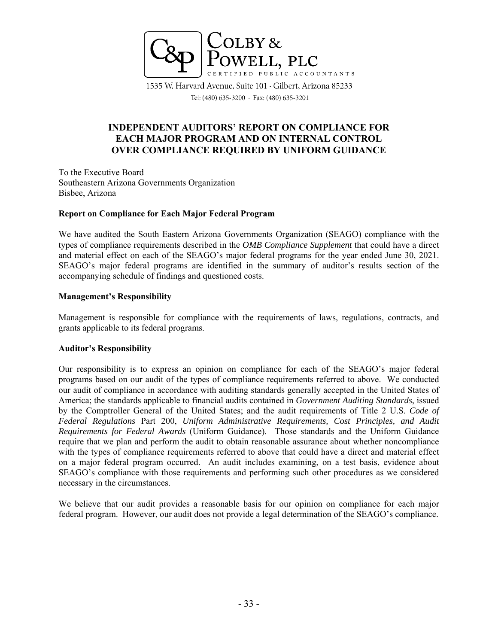

1535 W. Harvard Avenue, Suite 101 · Gilbert, Arizona 85233 Tel: (480) 635-3200 · Fax: (480) 635-3201

# **INDEPENDENT AUDITORS' REPORT ON COMPLIANCE FOR EACH MAJOR PROGRAM AND ON INTERNAL CONTROL OVER COMPLIANCE REQUIRED BY UNIFORM GUIDANCE**

To the Executive Board Southeastern Arizona Governments Organization Bisbee, Arizona

## **Report on Compliance for Each Major Federal Program**

We have audited the South Eastern Arizona Governments Organization (SEAGO) compliance with the types of compliance requirements described in the *OMB Compliance Supplement* that could have a direct and material effect on each of the SEAGO's major federal programs for the year ended June 30, 2021. SEAGO's major federal programs are identified in the summary of auditor's results section of the accompanying schedule of findings and questioned costs.

## **Management's Responsibility**

Management is responsible for compliance with the requirements of laws, regulations, contracts, and grants applicable to its federal programs.

## **Auditor's Responsibility**

Our responsibility is to express an opinion on compliance for each of the SEAGO's major federal programs based on our audit of the types of compliance requirements referred to above. We conducted our audit of compliance in accordance with auditing standards generally accepted in the United States of America; the standards applicable to financial audits contained in *Government Auditing Standards*, issued by the Comptroller General of the United States; and the audit requirements of Title 2 U.S. *Code of Federal Regulations* Part 200, *Uniform Administrative Requirements, Cost Principles, and Audit Requirements for Federal Awards* (Uniform Guidance). Those standards and the Uniform Guidance require that we plan and perform the audit to obtain reasonable assurance about whether noncompliance with the types of compliance requirements referred to above that could have a direct and material effect on a major federal program occurred. An audit includes examining, on a test basis, evidence about SEAGO's compliance with those requirements and performing such other procedures as we considered necessary in the circumstances.

We believe that our audit provides a reasonable basis for our opinion on compliance for each major federal program. However, our audit does not provide a legal determination of the SEAGO's compliance.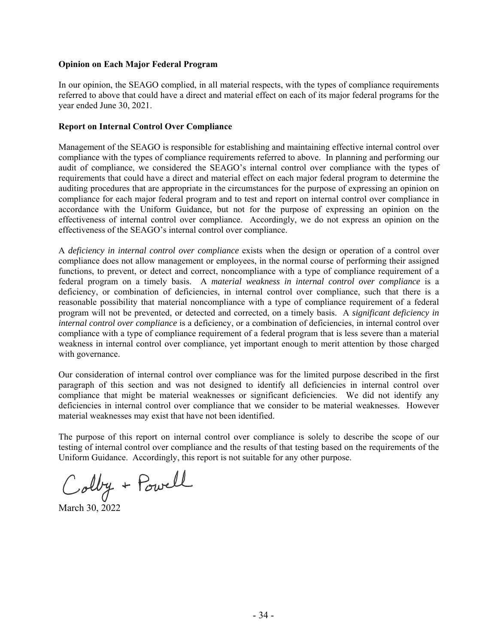## **Opinion on Each Major Federal Program**

In our opinion, the SEAGO complied, in all material respects, with the types of compliance requirements referred to above that could have a direct and material effect on each of its major federal programs for the year ended June 30, 2021.

## **Report on Internal Control Over Compliance**

Management of the SEAGO is responsible for establishing and maintaining effective internal control over compliance with the types of compliance requirements referred to above. In planning and performing our audit of compliance, we considered the SEAGO's internal control over compliance with the types of requirements that could have a direct and material effect on each major federal program to determine the auditing procedures that are appropriate in the circumstances for the purpose of expressing an opinion on compliance for each major federal program and to test and report on internal control over compliance in accordance with the Uniform Guidance, but not for the purpose of expressing an opinion on the effectiveness of internal control over compliance. Accordingly, we do not express an opinion on the effectiveness of the SEAGO's internal control over compliance.

A *deficiency in internal control over compliance* exists when the design or operation of a control over compliance does not allow management or employees, in the normal course of performing their assigned functions, to prevent, or detect and correct, noncompliance with a type of compliance requirement of a federal program on a timely basis. A *material weakness in internal control over compliance* is a deficiency, or combination of deficiencies, in internal control over compliance, such that there is a reasonable possibility that material noncompliance with a type of compliance requirement of a federal program will not be prevented, or detected and corrected, on a timely basis. A *significant deficiency in internal control over compliance* is a deficiency, or a combination of deficiencies, in internal control over compliance with a type of compliance requirement of a federal program that is less severe than a material weakness in internal control over compliance, yet important enough to merit attention by those charged with governance.

Our consideration of internal control over compliance was for the limited purpose described in the first paragraph of this section and was not designed to identify all deficiencies in internal control over compliance that might be material weaknesses or significant deficiencies. We did not identify any deficiencies in internal control over compliance that we consider to be material weaknesses. However material weaknesses may exist that have not been identified.

The purpose of this report on internal control over compliance is solely to describe the scope of our testing of internal control over compliance and the results of that testing based on the requirements of the Uniform Guidance. Accordingly, this report is not suitable for any other purpose.

Colby + Powell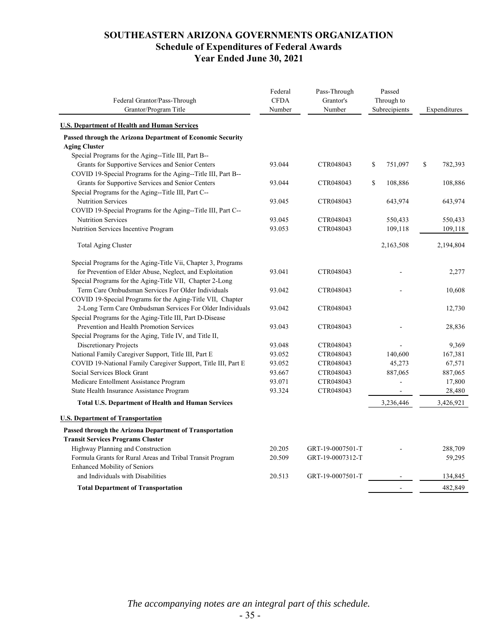# **SOUTHEASTERN ARIZONA GOVERNMENTS ORGANIZATION Schedule of Expenditures of Federal Awards Year Ended June 30, 2021**

| Federal Grantor/Pass-Through<br>Grantor/Program Title         | Federal<br><b>CFDA</b><br>Number | Pass-Through<br>Grantor's<br>Number | Passed<br>Through to<br>Subrecipients | Expenditures  |
|---------------------------------------------------------------|----------------------------------|-------------------------------------|---------------------------------------|---------------|
| <b>U.S. Department of Health and Human Services</b>           |                                  |                                     |                                       |               |
| Passed through the Arizona Department of Economic Security    |                                  |                                     |                                       |               |
| <b>Aging Cluster</b>                                          |                                  |                                     |                                       |               |
| Special Programs for the Aging--Title III, Part B--           |                                  |                                     |                                       |               |
| Grants for Supportive Services and Senior Centers             | 93.044                           | CTR048043                           | \$<br>751,097                         | \$<br>782,393 |
| COVID 19-Special Programs for the Aging--Title III, Part B--  |                                  |                                     |                                       |               |
| Grants for Supportive Services and Senior Centers             | 93.044                           | CTR048043                           | \$<br>108,886                         | 108,886       |
| Special Programs for the Aging--Title III, Part C--           |                                  |                                     |                                       |               |
| <b>Nutrition Services</b>                                     | 93.045                           | CTR048043                           | 643,974                               | 643,974       |
| COVID 19-Special Programs for the Aging--Title III, Part C--  |                                  |                                     |                                       |               |
| Nutrition Services                                            | 93.045                           | CTR048043                           | 550,433                               | 550,433       |
| Nutrition Services Incentive Program                          | 93.053                           | CTR048043                           | 109,118                               | 109,118       |
| Total Aging Cluster                                           |                                  |                                     | 2,163,508                             | 2,194,804     |
| Special Programs for the Aging-Title Vii, Chapter 3, Programs |                                  |                                     |                                       |               |
| for Prevention of Elder Abuse, Neglect, and Exploitation      | 93.041                           | CTR048043                           |                                       | 2,277         |
| Special Programs for the Aging-Title VII, Chapter 2-Long      |                                  |                                     |                                       |               |
| Term Care Ombudsman Services For Older Individuals            | 93.042                           | CTR048043                           |                                       | 10,608        |
| COVID 19-Special Programs for the Aging-Title VII, Chapter    |                                  |                                     |                                       |               |
| 2-Long Term Care Ombudsman Services For Older Individuals     | 93.042                           | CTR048043                           |                                       | 12,730        |
| Special Programs for the Aging-Title III, Part D-Disease      |                                  |                                     |                                       |               |
| Prevention and Health Promotion Services                      | 93.043                           | CTR048043                           |                                       | 28,836        |
| Special Programs for the Aging, Title IV, and Title II,       |                                  |                                     |                                       |               |
| Discretionary Projects                                        | 93.048                           | CTR048043                           |                                       | 9,369         |
| National Family Caregiver Support, Title III, Part E          | 93.052                           | CTR048043                           | 140,600                               | 167,381       |
| COVID 19-National Family Caregiver Support, Title III, Part E | 93.052                           | CTR048043                           | 45,273                                | 67,571        |
| Social Services Block Grant                                   | 93.667                           | CTR048043                           | 887,065                               | 887,065       |
| Medicare Entollment Assistance Program                        | 93.071                           | CTR048043                           |                                       | 17,800        |
| State Health Insurance Assistance Program                     | 93.324                           | CTR048043                           |                                       | 28,480        |
| <b>Total U.S. Department of Health and Human Services</b>     |                                  |                                     | 3,236,446                             | 3,426,921     |
| <b>U.S. Department of Transportation</b>                      |                                  |                                     |                                       |               |
| Passed through the Arizona Department of Transportation       |                                  |                                     |                                       |               |
| <b>Transit Services Programs Cluster</b>                      |                                  |                                     |                                       |               |
| Highway Planning and Construction                             | 20.205                           | GRT-19-0007501-T                    |                                       | 288,709       |
| Formula Grants for Rural Areas and Tribal Transit Program     | 20.509                           | GRT-19-0007312-T                    |                                       | 59,295        |
| <b>Enhanced Mobility of Seniors</b>                           |                                  |                                     |                                       |               |
| and Individuals with Disabilities                             | 20.513                           | GRT-19-0007501-T                    |                                       | 134,845       |
| <b>Total Department of Transportation</b>                     |                                  |                                     | ÷                                     | 482,849       |

*The accompanying notes are an integral part of this schedule.*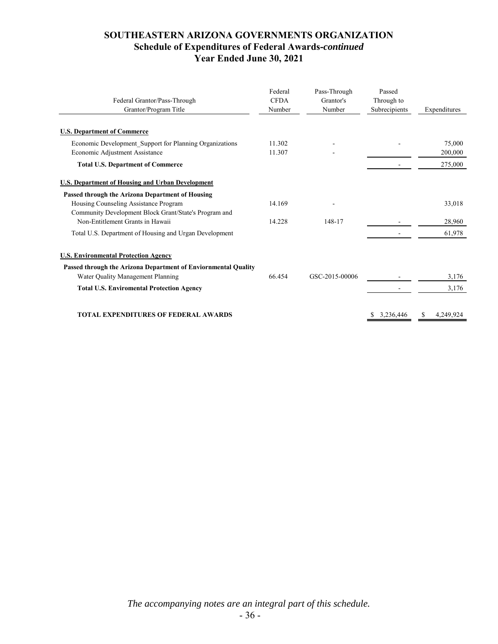# **SOUTHEASTERN ARIZONA GOVERNMENTS ORGANIZATION Schedule of Expenditures of Federal Awards-***continued* **Year Ended June 30, 2021**

| Federal Grantor/Pass-Through<br>Grantor/Program Title                                               | Federal<br><b>CFDA</b><br>Number | Pass-Through<br>Grantor's<br>Number | Passed<br>Through to<br>Subrecipients | Expenditures      |
|-----------------------------------------------------------------------------------------------------|----------------------------------|-------------------------------------|---------------------------------------|-------------------|
| <b>U.S. Department of Commerce</b>                                                                  |                                  |                                     |                                       |                   |
| Economic Development Support for Planning Organizations<br>Economic Adjustment Assistance           | 11.302<br>11.307                 |                                     |                                       | 75,000<br>200,000 |
| <b>Total U.S. Department of Commerce</b>                                                            |                                  |                                     |                                       | 275,000           |
| <b>U.S. Department of Housing and Urban Development</b>                                             |                                  |                                     |                                       |                   |
| Passed through the Arizona Department of Housing                                                    |                                  |                                     |                                       |                   |
| Housing Counseling Assistance Program                                                               | 14.169                           |                                     |                                       | 33,018            |
| Community Development Block Grant/State's Program and<br>Non-Entitlement Grants in Hawaii           | 14.228                           | 148-17                              |                                       | 28,960            |
| Total U.S. Department of Housing and Urgan Development                                              |                                  |                                     |                                       | 61,978            |
| <b>U.S. Environmental Protection Agency</b>                                                         |                                  |                                     |                                       |                   |
| Passed through the Arizona Department of Enviornmental Quality<br>Water Quality Management Planning | 66.454                           | GSC-2015-00006                      |                                       | 3,176             |
| <b>Total U.S. Enviromental Protection Agency</b>                                                    |                                  |                                     |                                       | 3,176             |
| <b>TOTAL EXPENDITURES OF FEDERAL AWARDS</b>                                                         |                                  |                                     | 3.236.446                             | 4,249,924<br>S    |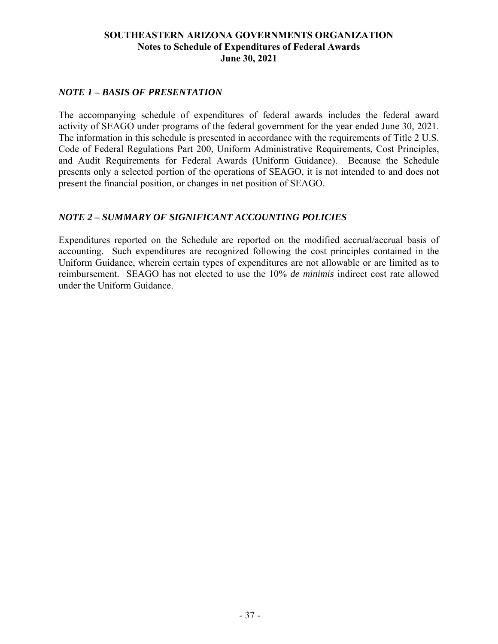# **SOUTHEASTERN ARIZONA GOVERNMENTS ORGANIZATION Notes to Schedule of Expenditures of Federal Awards June 30, 2021**

# *NOTE 1 – BASIS OF PRESENTATION*

The accompanying schedule of expenditures of federal awards includes the federal award activity of SEAGO under programs of the federal government for the year ended June 30, 2021. The information in this schedule is presented in accordance with the requirements of Title 2 U.S. Code of Federal Regulations Part 200, Uniform Administrative Requirements, Cost Principles, and Audit Requirements for Federal Awards (Uniform Guidance). Because the Schedule presents only a selected portion of the operations of SEAGO, it is not intended to and does not present the financial position, or changes in net position of SEAGO.

# *NOTE 2 – SUMMARY OF SIGNIFICANT ACCOUNTING POLICIES*

Expenditures reported on the Schedule are reported on the modified accrual/accrual basis of accounting. Such expenditures are recognized following the cost principles contained in the Uniform Guidance, wherein certain types of expenditures are not allowable or are limited as to reimbursement. SEAGO has not elected to use the 10% *de minimis* indirect cost rate allowed under the Uniform Guidance.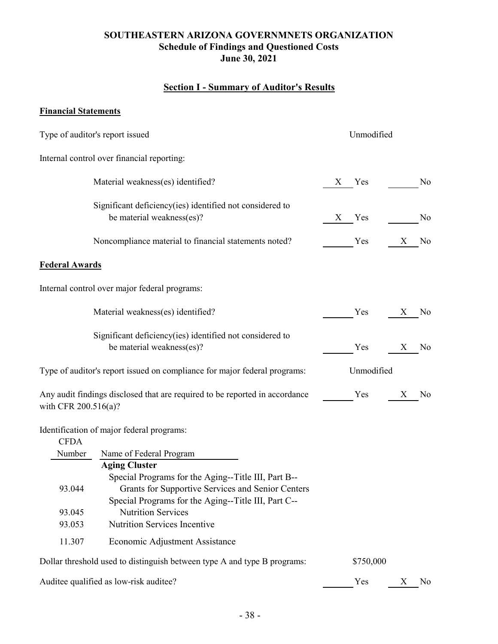# **SOUTHEASTERN ARIZONA GOVERNMNETS ORGANIZATION Schedule of Findings and Questioned Costs June 30, 2021**

# **Section I - Summary of Auditor's Results**

# **Financial Statements**

|                       | Type of auditor's report issued                                                                                                                                                         |   | Unmodified |   |                |
|-----------------------|-----------------------------------------------------------------------------------------------------------------------------------------------------------------------------------------|---|------------|---|----------------|
|                       | Internal control over financial reporting:                                                                                                                                              |   |            |   |                |
|                       | Material weakness(es) identified?                                                                                                                                                       | X | Yes        |   | N <sub>0</sub> |
|                       | Significant deficiency(ies) identified not considered to<br>be material weakness(es)?                                                                                                   | X | Yes        |   | N <sub>o</sub> |
|                       | Noncompliance material to financial statements noted?                                                                                                                                   |   | Yes        | X | No             |
| <b>Federal Awards</b> |                                                                                                                                                                                         |   |            |   |                |
|                       | Internal control over major federal programs:                                                                                                                                           |   |            |   |                |
|                       | Material weakness(es) identified?                                                                                                                                                       |   | Yes        | X | N <sub>0</sub> |
|                       | Significant deficiency (ies) identified not considered to<br>be material weakness(es)?                                                                                                  |   | Yes        | X | N <sub>0</sub> |
|                       | Type of auditor's report issued on compliance for major federal programs:                                                                                                               |   | Unmodified |   |                |
| with CFR 200.516(a)?  | Any audit findings disclosed that are required to be reported in accordance                                                                                                             |   | Yes        | X | No             |
| <b>CFDA</b>           | Identification of major federal programs:                                                                                                                                               |   |            |   |                |
| Number                | Name of Federal Program                                                                                                                                                                 |   |            |   |                |
| 93.044                | <b>Aging Cluster</b><br>Special Programs for the Aging--Title III, Part B--<br>Grants for Supportive Services and Senior Centers<br>Special Programs for the Aging--Title III, Part C-- |   |            |   |                |
| 93.045                | <b>Nutrition Services</b>                                                                                                                                                               |   |            |   |                |
| 93.053                | Nutrition Services Incentive                                                                                                                                                            |   |            |   |                |
| 11.307                | Economic Adjustment Assistance                                                                                                                                                          |   |            |   |                |
|                       | Dollar threshold used to distinguish between type A and type B programs:                                                                                                                |   | \$750,000  |   |                |
|                       | Auditee qualified as low-risk auditee?                                                                                                                                                  |   | Yes        | Χ | No             |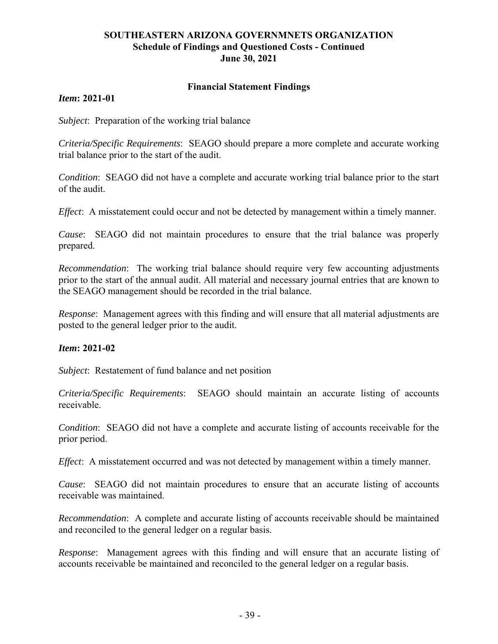# **SOUTHEASTERN ARIZONA GOVERNMNETS ORGANIZATION Schedule of Findings and Questioned Costs - Continued June 30, 2021**

## **Financial Statement Findings**

## *Item***: 2021-01**

*Subject*: Preparation of the working trial balance

*Criteria/Specific Requirements*: SEAGO should prepare a more complete and accurate working trial balance prior to the start of the audit.

*Condition*: SEAGO did not have a complete and accurate working trial balance prior to the start of the audit.

*Effect*: A misstatement could occur and not be detected by management within a timely manner.

*Cause*: SEAGO did not maintain procedures to ensure that the trial balance was properly prepared.

*Recommendation*: The working trial balance should require very few accounting adjustments prior to the start of the annual audit. All material and necessary journal entries that are known to the SEAGO management should be recorded in the trial balance.

*Response*: Management agrees with this finding and will ensure that all material adjustments are posted to the general ledger prior to the audit.

## *Item***: 2021-02**

*Subject*: Restatement of fund balance and net position

*Criteria/Specific Requirements*: SEAGO should maintain an accurate listing of accounts receivable.

*Condition*: SEAGO did not have a complete and accurate listing of accounts receivable for the prior period.

*Effect*: A misstatement occurred and was not detected by management within a timely manner.

*Cause*: SEAGO did not maintain procedures to ensure that an accurate listing of accounts receivable was maintained.

*Recommendation*: A complete and accurate listing of accounts receivable should be maintained and reconciled to the general ledger on a regular basis.

*Response*: Management agrees with this finding and will ensure that an accurate listing of accounts receivable be maintained and reconciled to the general ledger on a regular basis.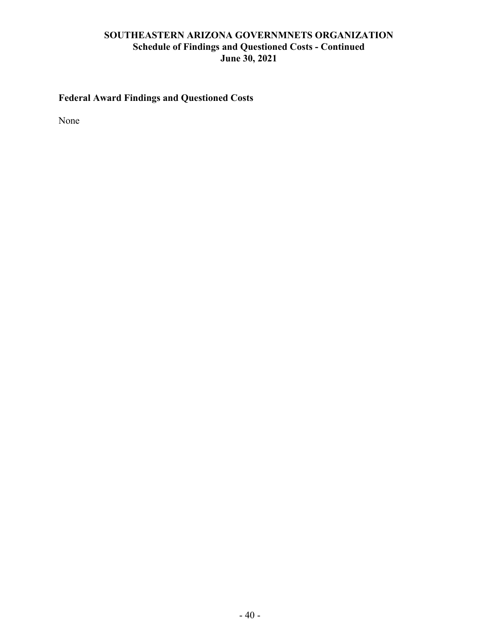# **SOUTHEASTERN ARIZONA GOVERNMNETS ORGANIZATION Schedule of Findings and Questioned Costs - Continued June 30, 2021**

# **Federal Award Findings and Questioned Costs**

None